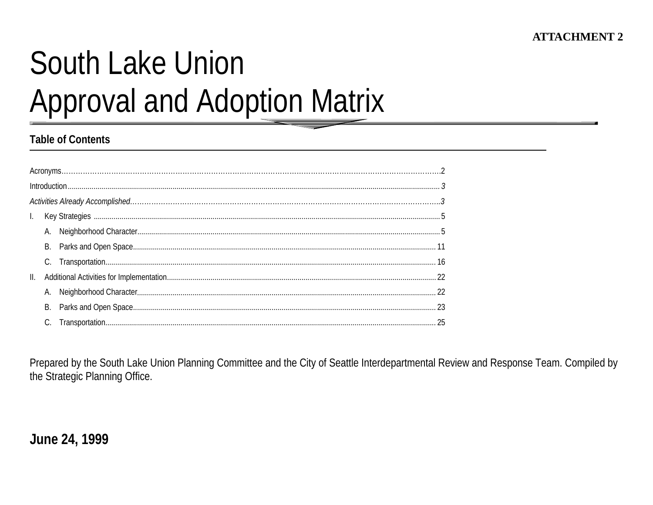# **South Lake Union Approval and Adoption Matrix**

## **Table of Contents**

| II. |    |  |
|-----|----|--|
|     |    |  |
|     | В. |  |
|     |    |  |

Prepared by the South Lake Union Planning Committee and the City of Seattle Interdepartmental Review and Response Team. Compiled by the Strategic Planning Office.

# June 24, 1999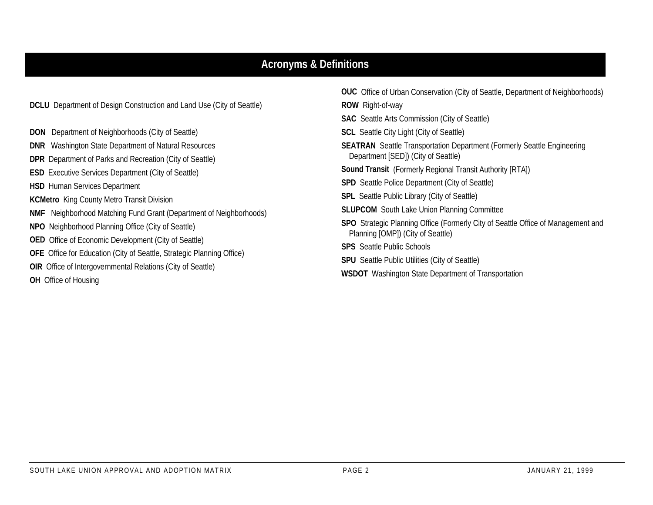## **Acronyms & Definitions**

**DCLU** Department of Design Construction and Land Use (City of Seattle)

- **DON** Department of Neighborhoods (City of Seattle)
- **DNR** Washington State Department of Natural Resources
- **DPR** Department of Parks and Recreation (City of Seattle)
- **ESD** Executive Services Department (City of Seattle)
- **HSD** Human Services Department
- **KCMetro** King County Metro Transit Division
- **NMF** Neighborhood Matching Fund Grant (Department of Neighborhoods)
- **NPO** Neighborhood Planning Office (City of Seattle)
- **OED** Office of Economic Development (City of Seattle)
- **OFE** Office for Education (City of Seattle, Strategic Planning Office)
- **OIR** Office of Intergovernmental Relations (City of Seattle)
- **OH** Office of Housing

**OUC** Office of Urban Conservation (City of Seattle, Department of Neighborhoods) **ROW** Right-of-way **SAC** Seattle Arts Commission (City of Seattle) **SCL** Seattle City Light (City of Seattle) **SEATRAN** Seattle Transportation Department (Formerly Seattle Engineering Department [SED]) (City of Seattle) **Sound Transit** (Formerly Regional Transit Authority [RTA]) **SPD** Seattle Police Department (City of Seattle) **SPL** Seattle Public Library (City of Seattle) **SLUPCOM** South Lake Union Planning Committee **SPO** Strategic Planning Office (Formerly City of Seattle Office of Management and Planning [OMP]) (City of Seattle) **SPS** Seattle Public Schools**SPU** Seattle Public Utilities (City of Seattle)

**WSDOT** Washington State Department of Transportation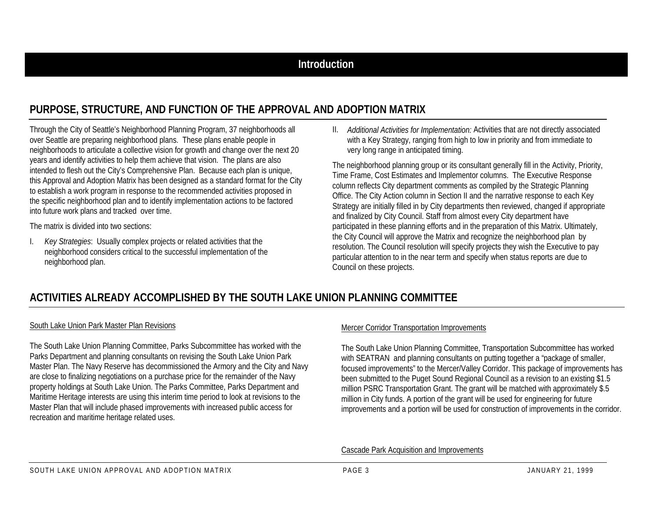# **PURPOSE, STRUCTURE, AND FUNCTION OF THE APPROVAL AND ADOPTION MATRIX**

Through the City of Seattle's Neighborhood Planning Program, 37 neighborhoods all over Seattle are preparing neighborhood plans. These plans enable people in neighborhoods to articulate a collective vision for growth and change over the next 20 years and identify activities to help them achieve that vision. The plans are also intended to flesh out the City's Comprehensive Plan. Because each plan is unique, this Approval and Adoption Matrix has been designed as a standard format for the City to establish a work program in response to the recommended activities proposed in the specific neighborhood plan and to identify implementation actions to be factored into future work plans and tracked over time.

The matrix is divided into two sections:

I. *Key Strategies*: Usually complex projects or related activities that the neighborhood considers critical to the successful implementation of the neighborhood plan.

II. *Additional Activities for Implementation:* Activities that are not directly associated with a Key Strategy, ranging from high to low in priority and from immediate to very long range in anticipated timing.

The neighborhood planning group or its consultant generally fill in the Activity, Priority, Time Frame, Cost Estimates and Implementor columns. The Executive Response column reflects City department comments as compiled by the Strategic Planning Office. The City Action column in Section II and the narrative response to each Key Strategy are initially filled in by City departments then reviewed, changed if appropriate and finalized by City Council. Staff from almost every City department have participated in these planning efforts and in the preparation of this Matrix. Ultimately, the City Council will approve the Matrix and recognize the neighborhood plan by resolution. The Council resolution will specify projects they wish the Executive to pay particular attention to in the near term and specify when status reports are due to Council on these projects.

# **ACTIVITIES ALREADY ACCOMPLISHED BY THE SOUTH LAKE UNION PLANNING COMMITTEE**

#### South Lake Union Park Master Plan Revisions

The South Lake Union Planning Committee, Parks Subcommittee has worked with the Parks Department and planning consultants on revising the South Lake Union Park Master Plan. The Navy Reserve has decommissioned the Armory and the City and Navy are close to finalizing negotiations on a purchase price for the remainder of the Navy property holdings at South Lake Union. The Parks Committee, Parks Department and Maritime Heritage interests are using this interim time period to look at revisions to the Master Plan that will include phased improvements with increased public access for recreation and maritime heritage related uses.

#### Mercer Corridor Transportation Improvements

The South Lake Union Planning Committee, Transportation Subcommittee has worked with SEATRAN and planning consultants on putting together a "package of smaller, focused improvements" to the Mercer/Valley Corridor. This package of improvements has been submitted to the Puget Sound Regional Council as a revision to an existing \$1.5 million PSRC Transportation Grant. The grant will be matched with approximately \$.5 million in City funds. A portion of the grant will be used for engineering for future improvements and a portion will be used for construction of improvements in the corridor.

Cascade Park Acquisition and Improvements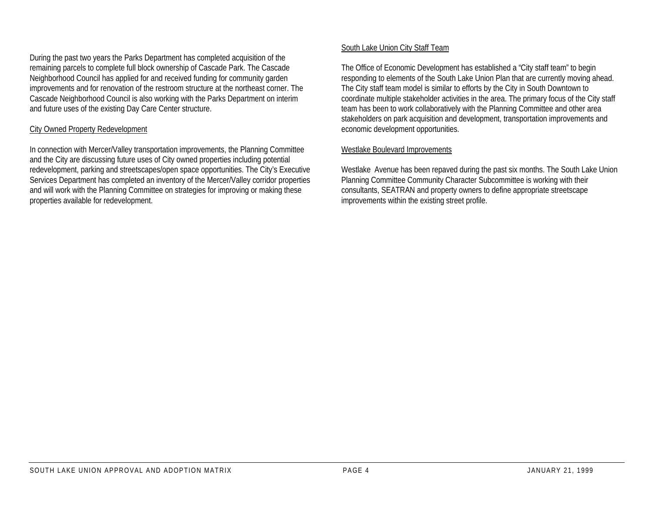During the past two years the Parks Department has completed acquisition of the remaining parcels to complete full block ownership of Cascade Park. The Cascade Neighborhood Council has applied for and received funding for community garden improvements and for renovation of the restroom structure at the northeast corner. The Cascade Neighborhood Council is also working with the Parks Department on interim and future uses of the existing Day Care Center structure.

#### City Owned Property Redevelopment

In connection with Mercer/Valley transportation improvements, the Planning Committee and the City are discussing future uses of City owned properties including potential redevelopment, parking and streetscapes/open space opportunities. The City's Executive Services Department has completed an inventory of the Mercer/Valley corridor properties and will work with the Planning Committee on strategies for improving or making these properties available for redevelopment.

#### South Lake Union City Staff Team

The Office of Economic Development has established a "City staff team" to begin responding to elements of the South Lake Union Plan that are currently moving ahead. The City staff team model is similar to efforts by the City in South Downtown to coordinate multiple stakeholder activities in the area. The primary focus of the City staff team has been to work collaboratively with the Planning Committee and other area stakeholders on park acquisition and development, transportation improvements and economic development opportunities.

#### Westlake Boulevard Improvements

Westlake Avenue has been repaved during the past six months. The South Lake Union Planning Committee Community Character Subcommittee is working with their consultants, SEATRAN and property owners to define appropriate streetscape improvements within the existing street profile.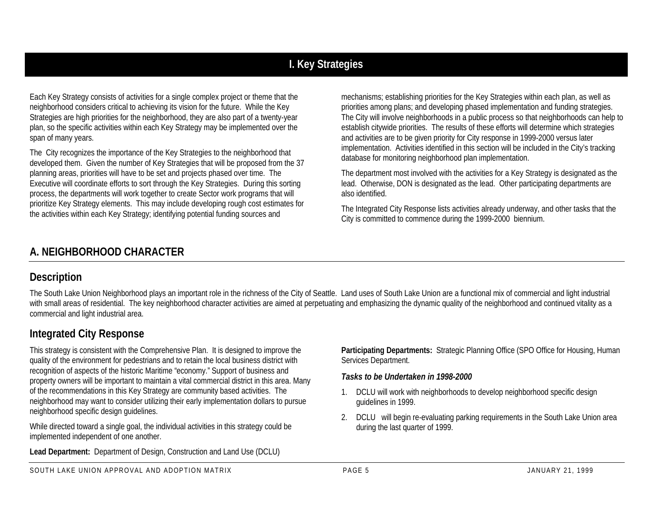# **I. Key Strategies**

Each Key Strategy consists of activities for a single complex project or theme that the neighborhood considers critical to achieving its vision for the future. While the Key Strategies are high priorities for the neighborhood, they are also part of a twenty-year plan, so the specific activities within each Key Strategy may be implemented over the span of many years.

The City recognizes the importance of the Key Strategies to the neighborhood that developed them. Given the number of Key Strategies that will be proposed from the 37 planning areas, priorities will have to be set and projects phased over time. The Executive will coordinate efforts to sort through the Key Strategies. During this sorting process, the departments will work together to create Sector work programs that will prioritize Key Strategy elements. This may include developing rough cost estimates for the activities within each Key Strategy; identifying potential funding sources and

mechanisms; establishing priorities for the Key Strategies within each plan, as well as priorities among plans; and developing phased implementation and funding strategies. The City will involve neighborhoods in a public process so that neighborhoods can help to establish citywide priorities. The results of these efforts will determine which strategies and activities are to be given priority for City response in 1999-2000 versus later implementation. Activities identified in this section will be included in the City's tracking database for monitoring neighborhood plan implementation.

The department most involved with the activities for a Key Strategy is designated as the lead. Otherwise, DON is designated as the lead. Other participating departments are also identified.

The Integrated City Response lists activities already underway, and other tasks that the City is committed to commence during the 1999-2000 biennium.

## **A. NEIGHBORHOOD CHARACTER**

## **Description**

The South Lake Union Neighborhood plays an important role in the richness of the City of Seattle. Land uses of South Lake Union are a functional mix of commercial and light industrial with small areas of residential. The key neighborhood character activities are aimed at perpetuating and emphasizing the dynamic quality of the neighborhood and continued vitality as a commercial and light industrial area.

# **Integrated City Response**

This strategy is consistent with the Comprehensive Plan. It is designed to improve the quality of the environment for pedestrians and to retain the local business district with recognition of aspects of the historic Maritime "economy." Support of business and property owners will be important to maintain a vital commercial district in this area. Many of the recommendations in this Key Strategy are community based activities. The neighborhood may want to consider utilizing their early implementation dollars to pursue neighborhood specific design guidelines.

While directed toward a single goal, the individual activities in this strategy could be implemented independent of one another.

**Lead Department:** Department of Design, Construction and Land Use (DCLU)

**Participating Departments:** Strategic Planning Office (SPO Office for Housing, Human Services Department.

## *Tasks to be Undertaken in 1998-2000*

- 1. DCLU will work with neighborhoods to develop neighborhood specific design guidelines in 1999.
- 2. DCLU will begin re-evaluating parking requirements in the South Lake Union area during the last quarter of 1999.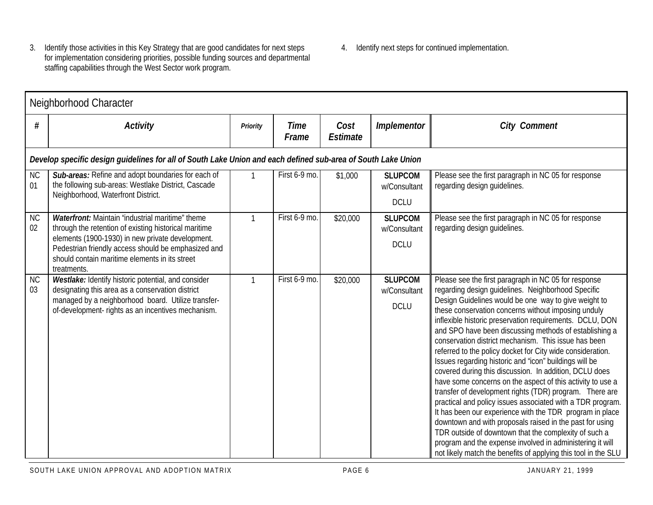- 3. Identify those activities in this Key Strategy that are good candidates for next steps for implementation considering priorities, possible funding sources and departmental staffing capabilities through the West Sector work program.
- 4. Identify next steps for continued implementation.

|                 | Neighborhood Character                                                                                                                                                                                              |                 |                      |                         |                                               |                                                                                                                                                                                                                                                                                                                                                                                                                                                                                                                                                                                                                                                                                                                                                                                                                                                                                                                                                                                                                                                                                                  |  |  |  |  |
|-----------------|---------------------------------------------------------------------------------------------------------------------------------------------------------------------------------------------------------------------|-----------------|----------------------|-------------------------|-----------------------------------------------|--------------------------------------------------------------------------------------------------------------------------------------------------------------------------------------------------------------------------------------------------------------------------------------------------------------------------------------------------------------------------------------------------------------------------------------------------------------------------------------------------------------------------------------------------------------------------------------------------------------------------------------------------------------------------------------------------------------------------------------------------------------------------------------------------------------------------------------------------------------------------------------------------------------------------------------------------------------------------------------------------------------------------------------------------------------------------------------------------|--|--|--|--|
| #               | <b>Activity</b>                                                                                                                                                                                                     | <b>Priority</b> | <b>Time</b><br>Frame | Cost<br><b>Estimate</b> | <b>Implementor</b>                            | <b>City Comment</b>                                                                                                                                                                                                                                                                                                                                                                                                                                                                                                                                                                                                                                                                                                                                                                                                                                                                                                                                                                                                                                                                              |  |  |  |  |
|                 | Develop specific design guidelines for all of South Lake Union and each defined sub-area of South Lake Union                                                                                                        |                 |                      |                         |                                               |                                                                                                                                                                                                                                                                                                                                                                                                                                                                                                                                                                                                                                                                                                                                                                                                                                                                                                                                                                                                                                                                                                  |  |  |  |  |
| <b>NC</b><br>01 | Sub-areas: Refine and adopt boundaries for each of<br>the following sub-areas: Westlake District, Cascade<br>Neighborhood, Waterfront District.                                                                     |                 | First 6-9 mo.        | \$1,000                 | <b>SLUPCOM</b><br>w/Consultant                | Please see the first paragraph in NC 05 for response<br>regarding design guidelines.                                                                                                                                                                                                                                                                                                                                                                                                                                                                                                                                                                                                                                                                                                                                                                                                                                                                                                                                                                                                             |  |  |  |  |
|                 |                                                                                                                                                                                                                     |                 |                      |                         | <b>DCLU</b>                                   |                                                                                                                                                                                                                                                                                                                                                                                                                                                                                                                                                                                                                                                                                                                                                                                                                                                                                                                                                                                                                                                                                                  |  |  |  |  |
| <b>NC</b><br>02 | <b>Waterfront:</b> Maintain "industrial maritime" theme<br>through the retention of existing historical maritime                                                                                                    | $\mathbf{1}$    | First 6-9 mo.        | \$20,000                | <b>SLUPCOM</b><br>w/Consultant                | Please see the first paragraph in NC 05 for response<br>regarding design guidelines.                                                                                                                                                                                                                                                                                                                                                                                                                                                                                                                                                                                                                                                                                                                                                                                                                                                                                                                                                                                                             |  |  |  |  |
|                 | elements (1900-1930) in new private development.<br>Pedestrian friendly access should be emphasized and<br>should contain maritime elements in its street<br>treatments.                                            |                 |                      |                         | <b>DCLU</b>                                   |                                                                                                                                                                                                                                                                                                                                                                                                                                                                                                                                                                                                                                                                                                                                                                                                                                                                                                                                                                                                                                                                                                  |  |  |  |  |
| <b>NC</b><br>03 | Westlake: Identify historic potential, and consider<br>designating this area as a conservation district<br>managed by a neighborhood board. Utilize transfer-<br>of-development- rights as an incentives mechanism. | 1               | First 6-9 mo.        | \$20,000                | <b>SLUPCOM</b><br>w/Consultant<br><b>DCLU</b> | Please see the first paragraph in NC 05 for response<br>regarding design guidelines. Neighborhood Specific<br>Design Guidelines would be one way to give weight to<br>these conservation concerns without imposing unduly<br>inflexible historic preservation requirements. DCLU, DON<br>and SPO have been discussing methods of establishing a<br>conservation district mechanism. This issue has been<br>referred to the policy docket for City wide consideration.<br>Issues regarding historic and "icon" buildings will be<br>covered during this discussion. In addition, DCLU does<br>have some concerns on the aspect of this activity to use a<br>transfer of development rights (TDR) program. There are<br>practical and policy issues associated with a TDR program.<br>It has been our experience with the TDR program in place<br>downtown and with proposals raised in the past for using<br>TDR outside of downtown that the complexity of such a<br>program and the expense involved in administering it will<br>not likely match the benefits of applying this tool in the SLU |  |  |  |  |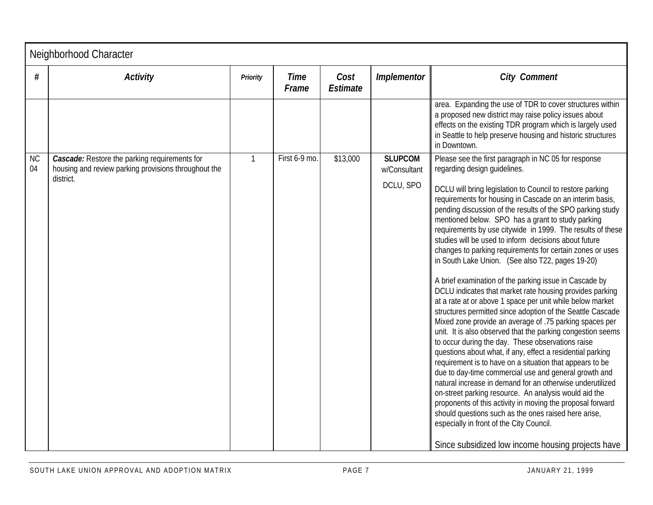|                 | Neighborhood Character                                                                                       |                 |                      |                         |                                |                                                                                                                                                                                                                                                                                                                                                                                                                                                                                                                                                                                                                                                                                                                                                                                                                                                                                                                                                                                                                                                                                                                                                                                                                                                                                                                                                                                                                                                  |  |  |  |
|-----------------|--------------------------------------------------------------------------------------------------------------|-----------------|----------------------|-------------------------|--------------------------------|--------------------------------------------------------------------------------------------------------------------------------------------------------------------------------------------------------------------------------------------------------------------------------------------------------------------------------------------------------------------------------------------------------------------------------------------------------------------------------------------------------------------------------------------------------------------------------------------------------------------------------------------------------------------------------------------------------------------------------------------------------------------------------------------------------------------------------------------------------------------------------------------------------------------------------------------------------------------------------------------------------------------------------------------------------------------------------------------------------------------------------------------------------------------------------------------------------------------------------------------------------------------------------------------------------------------------------------------------------------------------------------------------------------------------------------------------|--|--|--|
| #               | <b>Activity</b>                                                                                              | <b>Priority</b> | <b>Time</b><br>Frame | Cost<br><b>Estimate</b> | Implementor                    | <b>City Comment</b>                                                                                                                                                                                                                                                                                                                                                                                                                                                                                                                                                                                                                                                                                                                                                                                                                                                                                                                                                                                                                                                                                                                                                                                                                                                                                                                                                                                                                              |  |  |  |
|                 |                                                                                                              |                 |                      |                         |                                | area. Expanding the use of TDR to cover structures within<br>a proposed new district may raise policy issues about<br>effects on the existing TDR program which is largely used<br>in Seattle to help preserve housing and historic structures<br>in Downtown.                                                                                                                                                                                                                                                                                                                                                                                                                                                                                                                                                                                                                                                                                                                                                                                                                                                                                                                                                                                                                                                                                                                                                                                   |  |  |  |
| <b>NC</b><br>04 | <b>Cascade:</b> Restore the parking requirements for<br>housing and review parking provisions throughout the | $\mathbf{1}$    | First 6-9 mo.        | \$13,000                | <b>SLUPCOM</b><br>w/Consultant | Please see the first paragraph in NC 05 for response<br>regarding design guidelines.                                                                                                                                                                                                                                                                                                                                                                                                                                                                                                                                                                                                                                                                                                                                                                                                                                                                                                                                                                                                                                                                                                                                                                                                                                                                                                                                                             |  |  |  |
|                 | district.                                                                                                    |                 |                      |                         | DCLU, SPO                      | DCLU will bring legislation to Council to restore parking<br>requirements for housing in Cascade on an interim basis,<br>pending discussion of the results of the SPO parking study<br>mentioned below. SPO has a grant to study parking<br>requirements by use citywide in 1999. The results of these<br>studies will be used to inform decisions about future<br>changes to parking requirements for certain zones or uses<br>in South Lake Union. (See also T22, pages 19-20)<br>A brief examination of the parking issue in Cascade by<br>DCLU indicates that market rate housing provides parking<br>at a rate at or above 1 space per unit while below market<br>structures permitted since adoption of the Seattle Cascade<br>Mixed zone provide an average of .75 parking spaces per<br>unit. It is also observed that the parking congestion seems<br>to occur during the day. These observations raise<br>questions about what, if any, effect a residential parking<br>requirement is to have on a situation that appears to be<br>due to day-time commercial use and general growth and<br>natural increase in demand for an otherwise underutilized<br>on-street parking resource. An analysis would aid the<br>proponents of this activity in moving the proposal forward<br>should questions such as the ones raised here arise,<br>especially in front of the City Council.<br>Since subsidized low income housing projects have |  |  |  |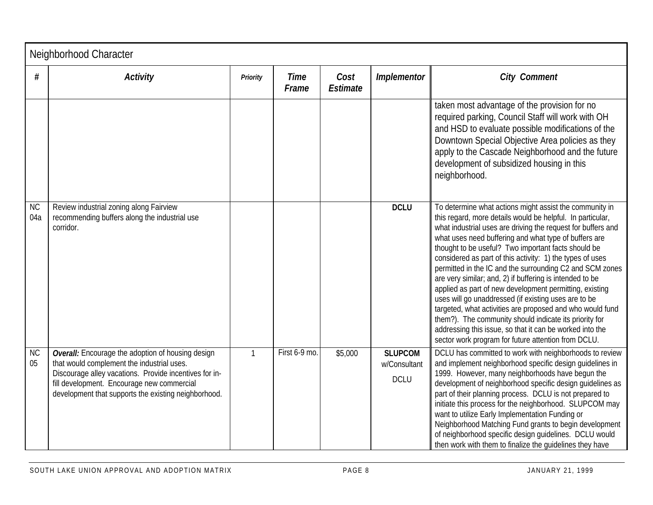|                  | Neighborhood Character                                                                                                                                                                                                                                          |                 |                      |                         |                                               |                                                                                                                                                                                                                                                                                                                                                                                                                                                                                                                                                                                                                                                                                                                                                                                                                                                         |  |  |
|------------------|-----------------------------------------------------------------------------------------------------------------------------------------------------------------------------------------------------------------------------------------------------------------|-----------------|----------------------|-------------------------|-----------------------------------------------|---------------------------------------------------------------------------------------------------------------------------------------------------------------------------------------------------------------------------------------------------------------------------------------------------------------------------------------------------------------------------------------------------------------------------------------------------------------------------------------------------------------------------------------------------------------------------------------------------------------------------------------------------------------------------------------------------------------------------------------------------------------------------------------------------------------------------------------------------------|--|--|
| #                | <b>Activity</b>                                                                                                                                                                                                                                                 | <b>Priority</b> | <b>Time</b><br>Frame | Cost<br><b>Estimate</b> | Implementor                                   | <b>City Comment</b>                                                                                                                                                                                                                                                                                                                                                                                                                                                                                                                                                                                                                                                                                                                                                                                                                                     |  |  |
|                  |                                                                                                                                                                                                                                                                 |                 |                      |                         |                                               | taken most advantage of the provision for no<br>required parking, Council Staff will work with OH<br>and HSD to evaluate possible modifications of the<br>Downtown Special Objective Area policies as they<br>apply to the Cascade Neighborhood and the future<br>development of subsidized housing in this<br>neighborhood.                                                                                                                                                                                                                                                                                                                                                                                                                                                                                                                            |  |  |
| <b>NC</b><br>04a | Review industrial zoning along Fairview<br>recommending buffers along the industrial use<br>corridor.                                                                                                                                                           |                 |                      |                         | <b>DCLU</b>                                   | To determine what actions might assist the community in<br>this regard, more details would be helpful. In particular,<br>what industrial uses are driving the request for buffers and<br>what uses need buffering and what type of buffers are<br>thought to be useful? Two important facts should be<br>considered as part of this activity: 1) the types of uses<br>permitted in the IC and the surrounding C2 and SCM zones<br>are very similar; and, 2) if buffering is intended to be<br>applied as part of new development permitting, existing<br>uses will go unaddressed (if existing uses are to be<br>targeted, what activities are proposed and who would fund<br>them?). The community should indicate its priority for<br>addressing this issue, so that it can be worked into the<br>sector work program for future attention from DCLU. |  |  |
| <b>NC</b><br>05  | Overall: Encourage the adoption of housing design<br>that would complement the industrial uses.<br>Discourage alley vacations. Provide incentives for in-<br>fill development. Encourage new commercial<br>development that supports the existing neighborhood. | $\mathbf{1}$    | First 6-9 mo.        | \$5,000                 | <b>SLUPCOM</b><br>w/Consultant<br><b>DCLU</b> | DCLU has committed to work with neighborhoods to review<br>and implement neighborhood specific design guidelines in<br>1999. However, many neighborhoods have begun the<br>development of neighborhood specific design guidelines as<br>part of their planning process. DCLU is not prepared to<br>initiate this process for the neighborhood. SLUPCOM may<br>want to utilize Early Implementation Funding or<br>Neighborhood Matching Fund grants to begin development<br>of neighborhood specific design guidelines. DCLU would<br>then work with them to finalize the quidelines they have                                                                                                                                                                                                                                                           |  |  |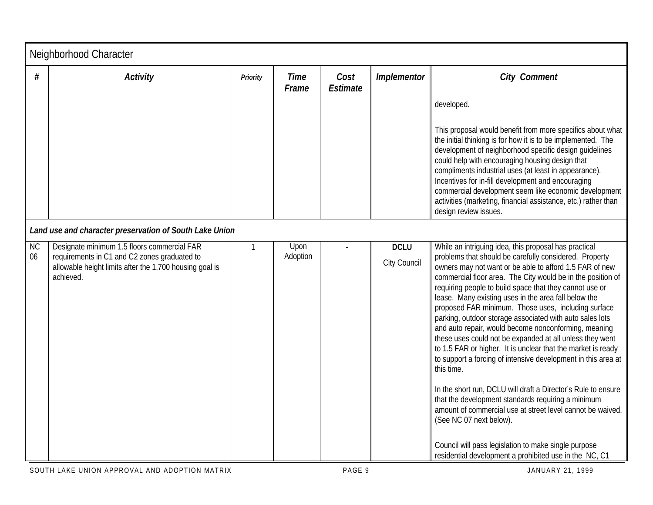|                 | Neighborhood Character                                                                                                                                              |                 |                      |                         |                                    |                                                                                                                                                                                                                                                                                                                                                                                                                                                                                                                                                                                                                                                                                                                                                                                                                                                                                                                                                                                                                                                                                      |  |  |  |
|-----------------|---------------------------------------------------------------------------------------------------------------------------------------------------------------------|-----------------|----------------------|-------------------------|------------------------------------|--------------------------------------------------------------------------------------------------------------------------------------------------------------------------------------------------------------------------------------------------------------------------------------------------------------------------------------------------------------------------------------------------------------------------------------------------------------------------------------------------------------------------------------------------------------------------------------------------------------------------------------------------------------------------------------------------------------------------------------------------------------------------------------------------------------------------------------------------------------------------------------------------------------------------------------------------------------------------------------------------------------------------------------------------------------------------------------|--|--|--|
| #               | <b>Activity</b>                                                                                                                                                     | <b>Priority</b> | <b>Time</b><br>Frame | Cost<br><b>Estimate</b> | <b>Implementor</b>                 | <b>City Comment</b>                                                                                                                                                                                                                                                                                                                                                                                                                                                                                                                                                                                                                                                                                                                                                                                                                                                                                                                                                                                                                                                                  |  |  |  |
|                 |                                                                                                                                                                     |                 |                      |                         |                                    | developed.<br>This proposal would benefit from more specifics about what<br>the initial thinking is for how it is to be implemented. The<br>development of neighborhood specific design guidelines<br>could help with encouraging housing design that<br>compliments industrial uses (at least in appearance).<br>Incentives for in-fill development and encouraging<br>commercial development seem like economic development<br>activities (marketing, financial assistance, etc.) rather than<br>design review issues.                                                                                                                                                                                                                                                                                                                                                                                                                                                                                                                                                             |  |  |  |
|                 | Land use and character preservation of South Lake Union                                                                                                             |                 |                      |                         |                                    |                                                                                                                                                                                                                                                                                                                                                                                                                                                                                                                                                                                                                                                                                                                                                                                                                                                                                                                                                                                                                                                                                      |  |  |  |
| <b>NC</b><br>06 | Designate minimum 1.5 floors commercial FAR<br>requirements in C1 and C2 zones graduated to<br>allowable height limits after the 1,700 housing goal is<br>achieved. | $\mathbf{1}$    | Upon<br>Adoption     |                         | <b>DCLU</b><br><b>City Council</b> | While an intriguing idea, this proposal has practical<br>problems that should be carefully considered. Property<br>owners may not want or be able to afford 1.5 FAR of new<br>commercial floor area. The City would be in the position of<br>requiring people to build space that they cannot use or<br>lease. Many existing uses in the area fall below the<br>proposed FAR minimum. Those uses, including surface<br>parking, outdoor storage associated with auto sales lots<br>and auto repair, would become nonconforming, meaning<br>these uses could not be expanded at all unless they went<br>to 1.5 FAR or higher. It is unclear that the market is ready<br>to support a forcing of intensive development in this area at<br>this time.<br>In the short run, DCLU will draft a Director's Rule to ensure<br>that the development standards requiring a minimum<br>amount of commercial use at street level cannot be waived.<br>(See NC 07 next below).<br>Council will pass legislation to make single purpose<br>residential development a prohibited use in the NC, C1 |  |  |  |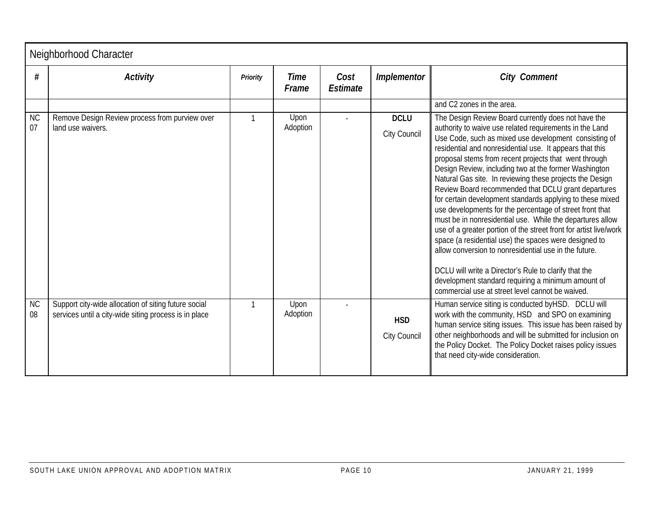|                 | Neighborhood Character                                                                                        |                 |                      |                         |                                   |                                                                                                                                                                                                                                                                                                                                                                                                                                                                                                                                                                                                                                                                                                                                                                                                                                                                                                                                                                   |  |  |  |
|-----------------|---------------------------------------------------------------------------------------------------------------|-----------------|----------------------|-------------------------|-----------------------------------|-------------------------------------------------------------------------------------------------------------------------------------------------------------------------------------------------------------------------------------------------------------------------------------------------------------------------------------------------------------------------------------------------------------------------------------------------------------------------------------------------------------------------------------------------------------------------------------------------------------------------------------------------------------------------------------------------------------------------------------------------------------------------------------------------------------------------------------------------------------------------------------------------------------------------------------------------------------------|--|--|--|
| #               | <b>Activity</b>                                                                                               | <b>Priority</b> | <b>Time</b><br>Frame | Cost<br><b>Estimate</b> | <b>Implementor</b>                | <b>City Comment</b>                                                                                                                                                                                                                                                                                                                                                                                                                                                                                                                                                                                                                                                                                                                                                                                                                                                                                                                                               |  |  |  |
| <b>NC</b>       | Remove Design Review process from purview over                                                                | $\mathbf{1}$    | Upon                 |                         | <b>DCLU</b>                       | and C2 zones in the area.<br>The Design Review Board currently does not have the                                                                                                                                                                                                                                                                                                                                                                                                                                                                                                                                                                                                                                                                                                                                                                                                                                                                                  |  |  |  |
| 07              | land use waivers.                                                                                             |                 | Adoption             |                         | <b>City Council</b>               | authority to waive use related requirements in the Land<br>Use Code, such as mixed use development consisting of<br>residential and nonresidential use. It appears that this<br>proposal stems from recent projects that went through<br>Design Review, including two at the former Washington<br>Natural Gas site. In reviewing these projects the Design<br>Review Board recommended that DCLU grant departures<br>for certain development standards applying to these mixed<br>use developments for the percentage of street front that<br>must be in nonresidential use. While the departures allow<br>use of a greater portion of the street front for artist live/work<br>space (a residential use) the spaces were designed to<br>allow conversion to nonresidential use in the future.<br>DCLU will write a Director's Rule to clarify that the<br>development standard requiring a minimum amount of<br>commercial use at street level cannot be waived. |  |  |  |
| <b>NC</b><br>08 | Support city-wide allocation of siting future social<br>services until a city-wide siting process is in place | $\mathbf{1}$    | Upon<br>Adoption     |                         | <b>HSD</b><br><b>City Council</b> | Human service siting is conducted byHSD. DCLU will<br>work with the community, HSD and SPO on examining<br>human service siting issues. This issue has been raised by<br>other neighborhoods and will be submitted for inclusion on<br>the Policy Docket. The Policy Docket raises policy issues<br>that need city-wide consideration.                                                                                                                                                                                                                                                                                                                                                                                                                                                                                                                                                                                                                            |  |  |  |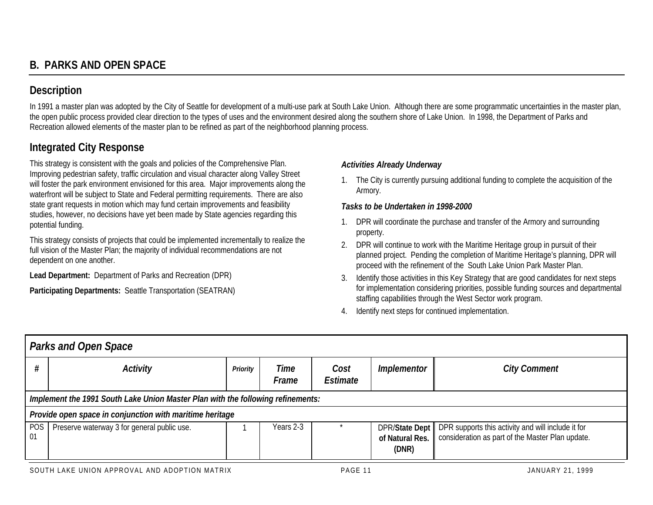## **Description**

In 1991 a master plan was adopted by the City of Seattle for development of a multi-use park at South Lake Union. Although there are some programmatic uncertainties in the master plan, the open public process provided clear direction to the types of uses and the environment desired along the southern shore of Lake Union. In 1998, the Department of Parks and Recreation allowed elements of the master plan to be refined as part of the neighborhood planning process.

## **Integrated City Response**

This strategy is consistent with the goals and policies of the Comprehensive Plan. Improving pedestrian safety, traffic circulation and visual character along Valley Street will foster the park environment envisioned for this area. Major improvements along the waterfront will be subject to State and Federal permitting requirements. There are also state grant requests in motion which may fund certain improvements and feasibility studies, however, no decisions have yet been made by State agencies regarding this potential funding.

This strategy consists of projects that could be implemented incrementally to realize the full vision of the Master Plan; the majority of individual recommendations are not dependent on one another.

**Lead Department:** Department of Parks and Recreation (DPR)

**Participating Departments:** Seattle Transportation (SEATRAN)

## *Activities Already Underway*

1. The City is currently pursuing additional funding to complete the acquisition of the Armory.

## *Tasks to be Undertaken in 1998-2000*

- 1. DPR will coordinate the purchase and transfer of the Armory and surrounding property.
- 2. DPR will continue to work with the Maritime Heritage group in pursuit of their planned project. Pending the completion of Maritime Heritage's planning, DPR will proceed with the refinement of the South Lake Union Park Master Plan.
- 3. Identify those activities in this Key Strategy that are good candidates for next steps for implementation considering priorities, possible funding sources and departmental staffing capabilities through the West Sector work program.
- 4. Identify next steps for continued implementation.

|           | <b>Parks and Open Space</b>                                                     |                 |               |                  |                          |                                                                                                                         |  |  |  |
|-----------|---------------------------------------------------------------------------------|-----------------|---------------|------------------|--------------------------|-------------------------------------------------------------------------------------------------------------------------|--|--|--|
|           | <b>Activity</b>                                                                 | <b>Priority</b> | Time<br>Frame | Cost<br>Estimate | <i>Implementor</i>       | <b>City Comment</b>                                                                                                     |  |  |  |
|           | Implement the 1991 South Lake Union Master Plan with the following refinements: |                 |               |                  |                          |                                                                                                                         |  |  |  |
|           | Provide open space in conjunction with maritime heritage                        |                 |               |                  |                          |                                                                                                                         |  |  |  |
| POS<br>01 | Preserve waterway 3 for general public use.                                     |                 | Years 2-3     |                  | of Natural Res.<br>(DNR) | DPR/State Dept   DPR supports this activity and will include it for<br>consideration as part of the Master Plan update. |  |  |  |
|           |                                                                                 |                 |               |                  |                          |                                                                                                                         |  |  |  |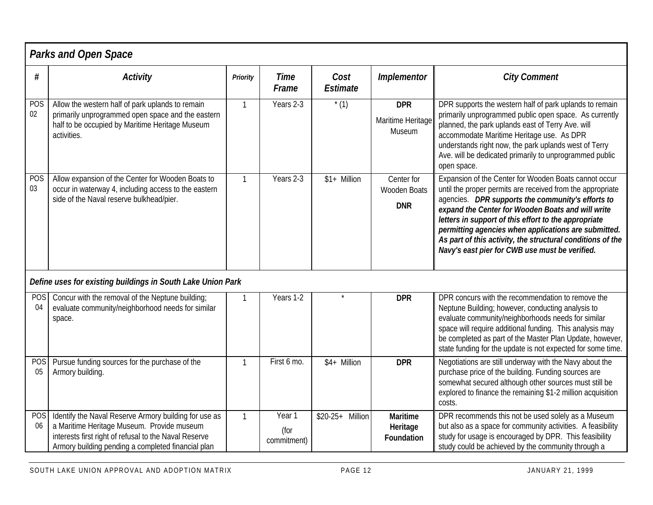|                  | <b>Parks and Open Space</b>                                                                                                                                                                                        |                 |                               |                         |                                                  |                                                                                                                                                                                                                                                                                                                                                                                                                                                               |  |  |  |  |
|------------------|--------------------------------------------------------------------------------------------------------------------------------------------------------------------------------------------------------------------|-----------------|-------------------------------|-------------------------|--------------------------------------------------|---------------------------------------------------------------------------------------------------------------------------------------------------------------------------------------------------------------------------------------------------------------------------------------------------------------------------------------------------------------------------------------------------------------------------------------------------------------|--|--|--|--|
| #                | <b>Activity</b>                                                                                                                                                                                                    | <b>Priority</b> | <b>Time</b><br>Frame          | Cost<br><b>Estimate</b> | <b>Implementor</b>                               | <b>City Comment</b>                                                                                                                                                                                                                                                                                                                                                                                                                                           |  |  |  |  |
| POS<br>02        | Allow the western half of park uplands to remain<br>primarily unprogrammed open space and the eastern<br>half to be occupied by Maritime Heritage Museum<br>activities.                                            | $\mathbf{1}$    | Years 2-3                     | $*(1)$                  | <b>DPR</b><br>Maritime Heritage<br>Museum        | DPR supports the western half of park uplands to remain<br>primarily unprogrammed public open space. As currently<br>planned, the park uplands east of Terry Ave. will<br>accommodate Maritime Heritage use. As DPR<br>understands right now, the park uplands west of Terry<br>Ave. will be dedicated primarily to unprogrammed public<br>open space.                                                                                                        |  |  |  |  |
| <b>POS</b><br>03 | Allow expansion of the Center for Wooden Boats to<br>occur in waterway 4, including access to the eastern<br>side of the Naval reserve bulkhead/pier.                                                              | $\mathbf{1}$    | Years 2-3                     | \$1+ Million            | Center for<br><b>Wooden Boats</b><br><b>DNR</b>  | Expansion of the Center for Wooden Boats cannot occur<br>until the proper permits are received from the appropriate<br>agencies. DPR supports the community's efforts to<br>expand the Center for Wooden Boats and will write<br>letters in support of this effort to the appropriate<br>permitting agencies when applications are submitted.<br>As part of this activity, the structural conditions of the<br>Navy's east pier for CWB use must be verified. |  |  |  |  |
|                  | Define uses for existing buildings in South Lake Union Park                                                                                                                                                        |                 |                               |                         |                                                  |                                                                                                                                                                                                                                                                                                                                                                                                                                                               |  |  |  |  |
| <b>POS</b><br>04 | Concur with the removal of the Neptune building;<br>evaluate community/neighborhood needs for similar<br>space.                                                                                                    | $\mathbf{1}$    | Years 1-2                     | $\star$                 | <b>DPR</b>                                       | DPR concurs with the recommendation to remove the<br>Neptune Building; however, conducting analysis to<br>evaluate community/neighborhoods needs for similar<br>space will require additional funding. This analysis may<br>be completed as part of the Master Plan Update, however,<br>state funding for the update is not expected for some time.                                                                                                           |  |  |  |  |
| <b>POS</b><br>05 | Pursue funding sources for the purchase of the<br>Armory building.                                                                                                                                                 | $\mathbf{1}$    | First 6 mo.                   | \$4+ Million            | <b>DPR</b>                                       | Negotiations are still underway with the Navy about the<br>purchase price of the building. Funding sources are<br>somewhat secured although other sources must still be<br>explored to finance the remaining \$1-2 million acquisition<br>costs.                                                                                                                                                                                                              |  |  |  |  |
| <b>POS</b><br>06 | Identify the Naval Reserve Armory building for use as<br>a Maritime Heritage Museum. Provide museum<br>interests first right of refusal to the Naval Reserve<br>Armory building pending a completed financial plan | $\mathbf{1}$    | Year 1<br>(for<br>commitment) | \$20-25+ Million        | <b>Maritime</b><br>Heritage<br><b>Foundation</b> | DPR recommends this not be used solely as a Museum<br>but also as a space for community activities. A feasibility<br>study for usage is encouraged by DPR. This feasibility<br>study could be achieved by the community through a                                                                                                                                                                                                                             |  |  |  |  |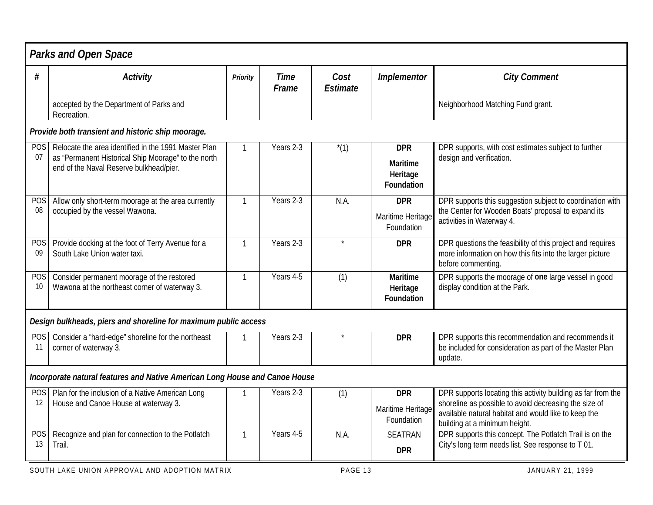|                  | <b>Parks and Open Space</b>                                                                                                                            |                 |                      |                         |                                                         |                                                                                                                                                                                                                |
|------------------|--------------------------------------------------------------------------------------------------------------------------------------------------------|-----------------|----------------------|-------------------------|---------------------------------------------------------|----------------------------------------------------------------------------------------------------------------------------------------------------------------------------------------------------------------|
| #                | <b>Activity</b>                                                                                                                                        | <b>Priority</b> | <b>Time</b><br>Frame | Cost<br><b>Estimate</b> | <b>Implementor</b>                                      | <b>City Comment</b>                                                                                                                                                                                            |
|                  | accepted by the Department of Parks and<br>Recreation.                                                                                                 |                 |                      |                         |                                                         | Neighborhood Matching Fund grant.                                                                                                                                                                              |
|                  | Provide both transient and historic ship moorage.                                                                                                      |                 |                      |                         |                                                         |                                                                                                                                                                                                                |
| <b>POS</b><br>07 | Relocate the area identified in the 1991 Master Plan<br>as "Permanent Historical Ship Moorage" to the north<br>end of the Naval Reserve bulkhead/pier. | 1               | Years 2-3            | $*(1)$                  | <b>DPR</b><br><b>Maritime</b><br>Heritage<br>Foundation | DPR supports, with cost estimates subject to further<br>design and verification.                                                                                                                               |
| <b>POS</b><br>08 | Allow only short-term moorage at the area currently<br>occupied by the vessel Wawona.                                                                  | 1               | Years 2-3            | N.A.                    | <b>DPR</b><br>Maritime Heritage<br>Foundation           | DPR supports this suggestion subject to coordination with<br>the Center for Wooden Boats' proposal to expand its<br>activities in Waterway 4.                                                                  |
| <b>POS</b><br>09 | Provide docking at the foot of Terry Avenue for a<br>South Lake Union water taxi.                                                                      | $\mathbf{1}$    | Years 2-3            | $\star$                 | <b>DPR</b>                                              | DPR questions the feasibility of this project and requires<br>more information on how this fits into the larger picture<br>before commenting.                                                                  |
| <b>POS</b><br>10 | Consider permanent moorage of the restored<br>Wawona at the northeast corner of waterway 3.                                                            | 1               | Years 4-5            | (1)                     | <b>Maritime</b><br>Heritage<br>Foundation               | DPR supports the moorage of one large vessel in good<br>display condition at the Park.                                                                                                                         |
|                  | Design bulkheads, piers and shoreline for maximum public access                                                                                        |                 |                      |                         |                                                         |                                                                                                                                                                                                                |
| POS<br>11        | Consider a "hard-edge" shoreline for the northeast<br>corner of waterway 3.                                                                            | 1               | Years 2-3            | $\star$                 | <b>DPR</b>                                              | DPR supports this recommendation and recommends it<br>be included for consideration as part of the Master Plan<br>update.                                                                                      |
|                  | Incorporate natural features and Native American Long House and Canoe House                                                                            |                 |                      |                         |                                                         |                                                                                                                                                                                                                |
| <b>POS</b><br>12 | Plan for the inclusion of a Native American Long<br>House and Canoe House at waterway 3.                                                               |                 | Years 2-3            | (1)                     | <b>DPR</b><br>Maritime Heritage<br>Foundation           | DPR supports locating this activity building as far from the<br>shoreline as possible to avoid decreasing the size of<br>available natural habitat and would like to keep the<br>building at a minimum height. |
| <b>POS</b><br>13 | Recognize and plan for connection to the Potlatch<br>Trail.                                                                                            | $\mathbf{1}$    | Years 4-5            | N.A.                    | <b>SEATRAN</b><br><b>DPR</b>                            | DPR supports this concept. The Potlatch Trail is on the<br>City's long term needs list. See response to T 01.                                                                                                  |
|                  |                                                                                                                                                        |                 |                      | <b>DACE 10</b>          |                                                         |                                                                                                                                                                                                                |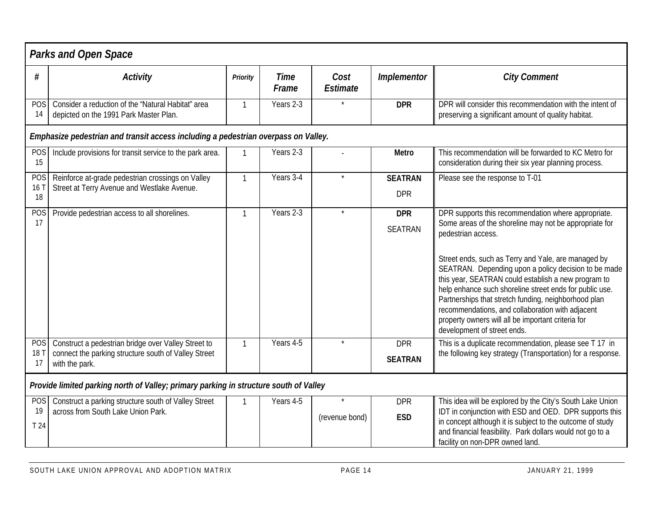|                                     | <b>Parks and Open Space</b>                                                                                                   |                 |                      |                           |                              |                                                                                                                                                                                                                                                                                                                                                                                                                                                                                                                                                                       |  |  |  |  |
|-------------------------------------|-------------------------------------------------------------------------------------------------------------------------------|-----------------|----------------------|---------------------------|------------------------------|-----------------------------------------------------------------------------------------------------------------------------------------------------------------------------------------------------------------------------------------------------------------------------------------------------------------------------------------------------------------------------------------------------------------------------------------------------------------------------------------------------------------------------------------------------------------------|--|--|--|--|
| #                                   | <b>Activity</b>                                                                                                               | <b>Priority</b> | <b>Time</b><br>Frame | Cost<br><b>Estimate</b>   | Implementor                  | <b>City Comment</b>                                                                                                                                                                                                                                                                                                                                                                                                                                                                                                                                                   |  |  |  |  |
| POS<br>14                           | Consider a reduction of the "Natural Habitat" area<br>depicted on the 1991 Park Master Plan.                                  | 1               | Years 2-3            |                           | <b>DPR</b>                   | DPR will consider this recommendation with the intent of<br>preserving a significant amount of quality habitat.                                                                                                                                                                                                                                                                                                                                                                                                                                                       |  |  |  |  |
|                                     | Emphasize pedestrian and transit access including a pedestrian overpass on Valley.                                            |                 |                      |                           |                              |                                                                                                                                                                                                                                                                                                                                                                                                                                                                                                                                                                       |  |  |  |  |
| POS<br>15                           | Include provisions for transit service to the park area.                                                                      | 1               | Years 2-3            |                           | <b>Metro</b>                 | This recommendation will be forwarded to KC Metro for<br>consideration during their six year planning process.                                                                                                                                                                                                                                                                                                                                                                                                                                                        |  |  |  |  |
| <b>POS</b><br>16 <sub>1</sub><br>18 | Reinforce at-grade pedestrian crossings on Valley<br>Street at Terry Avenue and Westlake Avenue.                              | 1               | Years 3-4            | $\star$                   | <b>SEATRAN</b><br><b>DPR</b> | Please see the response to T-01                                                                                                                                                                                                                                                                                                                                                                                                                                                                                                                                       |  |  |  |  |
| POS<br>17                           | Provide pedestrian access to all shorelines.                                                                                  | 1               | Years 2-3            | $\star$                   | <b>DPR</b><br><b>SEATRAN</b> | DPR supports this recommendation where appropriate.<br>Some areas of the shoreline may not be appropriate for<br>pedestrian access.<br>Street ends, such as Terry and Yale, are managed by<br>SEATRAN. Depending upon a policy decision to be made<br>this year, SEATRAN could establish a new program to<br>help enhance such shoreline street ends for public use.<br>Partnerships that stretch funding, neighborhood plan<br>recommendations, and collaboration with adjacent<br>property owners will all be important criteria for<br>development of street ends. |  |  |  |  |
| <b>POS</b><br>18 T<br>17            | Construct a pedestrian bridge over Valley Street to<br>connect the parking structure south of Valley Street<br>with the park. | $\mathbf{1}$    | Years 4-5            | $\star$                   | <b>DPR</b><br><b>SEATRAN</b> | This is a duplicate recommendation, please see T 17 in<br>the following key strategy (Transportation) for a response.                                                                                                                                                                                                                                                                                                                                                                                                                                                 |  |  |  |  |
|                                     | Provide limited parking north of Valley; primary parking in structure south of Valley                                         |                 |                      |                           |                              |                                                                                                                                                                                                                                                                                                                                                                                                                                                                                                                                                                       |  |  |  |  |
| <b>POS</b><br>19<br>T 24            | Construct a parking structure south of Valley Street<br>across from South Lake Union Park.                                    | $\mathbf{1}$    | Years 4-5            | $\star$<br>(revenue bond) | <b>DPR</b><br><b>ESD</b>     | This idea will be explored by the City's South Lake Union<br>IDT in conjunction with ESD and OED. DPR supports this<br>in concept although it is subject to the outcome of study<br>and financial feasibility. Park dollars would not go to a<br>facility on non-DPR owned land.                                                                                                                                                                                                                                                                                      |  |  |  |  |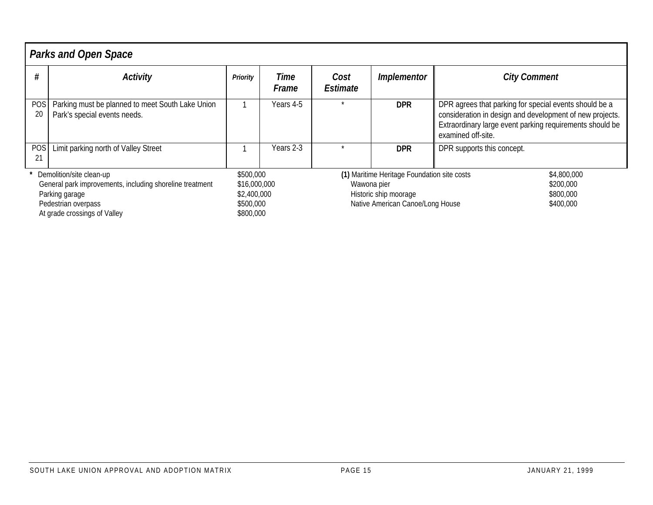|                                                                                                                                                               | <b>Parks and Open Space</b>                                                      |                                                                    |                      |                  |                                                                                                          |                                                                                                                                                                                                      |  |  |  |  |
|---------------------------------------------------------------------------------------------------------------------------------------------------------------|----------------------------------------------------------------------------------|--------------------------------------------------------------------|----------------------|------------------|----------------------------------------------------------------------------------------------------------|------------------------------------------------------------------------------------------------------------------------------------------------------------------------------------------------------|--|--|--|--|
|                                                                                                                                                               | <b>Activity</b>                                                                  | Priority                                                           | <b>Time</b><br>Frame | Cost<br>Estimate | <b>Implementor</b>                                                                                       | <b>City Comment</b>                                                                                                                                                                                  |  |  |  |  |
| <b>POS</b><br>20                                                                                                                                              | Parking must be planned to meet South Lake Union<br>Park's special events needs. |                                                                    | Years 4-5            |                  | <b>DPR</b>                                                                                               | DPR agrees that parking for special events should be a<br>consideration in design and development of new projects.<br>Extraordinary large event parking requirements should be<br>examined off-site. |  |  |  |  |
| <b>POS</b><br>21                                                                                                                                              | Limit parking north of Valley Street                                             |                                                                    | Years 2-3            |                  | <b>DPR</b>                                                                                               | DPR supports this concept.                                                                                                                                                                           |  |  |  |  |
| Demolition/site clean-up<br>General park improvements, including shoreline treatment<br>Parking garage<br>Pedestrian overpass<br>At grade crossings of Valley |                                                                                  | \$500,000<br>\$16,000,000<br>\$2,400,000<br>\$500,000<br>\$800,000 |                      | Wawona pier      | (1) Maritime Heritage Foundation site costs<br>Historic ship moorage<br>Native American Canoe/Long House | \$4,800,000<br>\$200,000<br>\$800,000<br>\$400,000                                                                                                                                                   |  |  |  |  |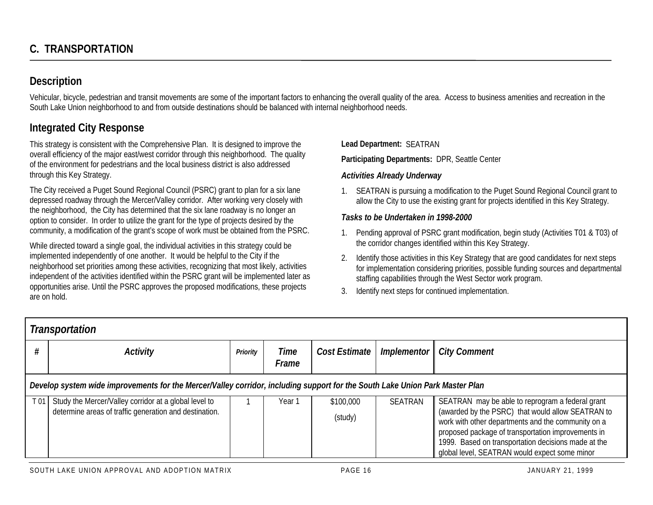## **Description**

Vehicular, bicycle, pedestrian and transit movements are some of the important factors to enhancing the overall quality of the area. Access to business amenities and recreation in the South Lake Union neighborhood to and from outside destinations should be balanced with internal neighborhood needs.

## **Integrated City Response**

This strategy is consistent with the Comprehensive Plan. It is designed to improve the overall efficiency of the major east/west corridor through this neighborhood. The quality of the environment for pedestrians and the local business district is also addressed through this Key Strategy.

The City received a Puget Sound Regional Council (PSRC) grant to plan for a six lane depressed roadway through the Mercer/Valley corridor. After working very closely with the neighborhood, the City has determined that the six lane roadway is no longer an option to consider. In order to utilize the grant for the type of projects desired by the community, a modification of the grant's scope of work must be obtained from the PSRC.

While directed toward a single goal, the individual activities in this strategy could be implemented independently of one another. It would be helpful to the City if the neighborhood set priorities among these activities, recognizing that most likely, activities independent of the activities identified within the PSRC grant will be implemented later as opportunities arise. Until the PSRC approves the proposed modifications, these projects are on hold.

**Lead Department:** SEATRAN

**Participating Departments:** DPR, Seattle Center

## *Activities Already Underway*

1. SEATRAN is pursuing a modification to the Puget Sound Regional Council grant to allow the City to use the existing grant for projects identified in this Key Strategy.

## *Tasks to be Undertaken in 1998-2000*

- 1. Pending approval of PSRC grant modification, begin study (Activities T01 & T03) of the corridor changes identified within this Key Strategy.
- 2. Identify those activities in this Key Strategy that are good candidates for next steps for implementation considering priorities, possible funding sources and departmental staffing capabilities through the West Sector work program.
- 3. Identify next steps for continued implementation.

|                 | Transportation                                                                                                               |          |                      |                      |             |                                                                                                                                                                                                                                                                                                                           |  |  |  |  |
|-----------------|------------------------------------------------------------------------------------------------------------------------------|----------|----------------------|----------------------|-------------|---------------------------------------------------------------------------------------------------------------------------------------------------------------------------------------------------------------------------------------------------------------------------------------------------------------------------|--|--|--|--|
|                 | <b>Activity</b>                                                                                                              | Priority | <b>Time</b><br>Frame | Cost Estimate        | Implementor | <b>City Comment</b>                                                                                                                                                                                                                                                                                                       |  |  |  |  |
|                 | Develop system wide improvements for the Mercer/Valley corridor, including support for the South Lake Union Park Master Plan |          |                      |                      |             |                                                                                                                                                                                                                                                                                                                           |  |  |  |  |
| T <sub>01</sub> | Study the Mercer/Valley corridor at a global level to<br>determine areas of traffic generation and destination.              |          | Year 1               | \$100,000<br>(study) | SEATRAN     | SEATRAN may be able to reprogram a federal grant<br>(awarded by the PSRC) that would allow SEATRAN to<br>work with other departments and the community on a<br>proposed package of transportation improvements in<br>1999. Based on transportation decisions made at the<br>global level, SEATRAN would expect some minor |  |  |  |  |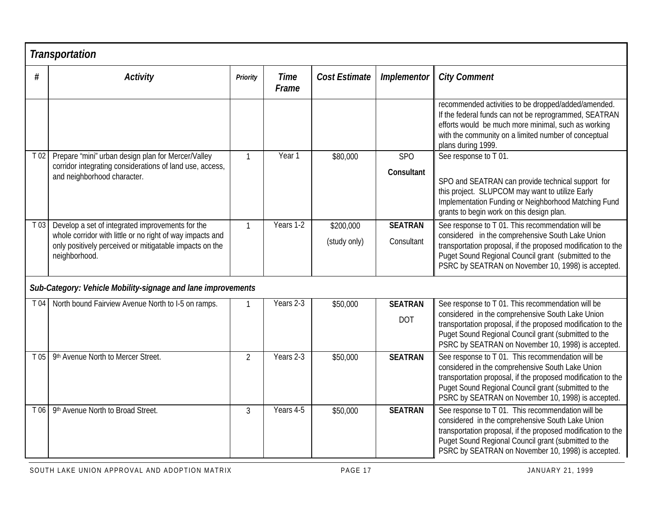|          | <b>Transportation</b>                                                                                                                                                                     |                 |                      |                           |                              |                                                                                                                                                                                                                                                                                     |
|----------|-------------------------------------------------------------------------------------------------------------------------------------------------------------------------------------------|-----------------|----------------------|---------------------------|------------------------------|-------------------------------------------------------------------------------------------------------------------------------------------------------------------------------------------------------------------------------------------------------------------------------------|
| #        | <b>Activity</b>                                                                                                                                                                           | <b>Priority</b> | <b>Time</b><br>Frame | <b>Cost Estimate</b>      | Implementor                  | <b>City Comment</b>                                                                                                                                                                                                                                                                 |
|          |                                                                                                                                                                                           |                 |                      |                           |                              | recommended activities to be dropped/added/amended.<br>If the federal funds can not be reprogrammed, SEATRAN<br>efforts would be much more minimal, such as working<br>with the community on a limited number of conceptual<br>plans during 1999.                                   |
| $T_{02}$ | Prepare "mini" urban design plan for Mercer/Valley                                                                                                                                        | $\mathbf{1}$    | Year <sub>1</sub>    | \$80,000                  | <b>SPO</b>                   | See response to T01.                                                                                                                                                                                                                                                                |
|          | corridor integrating considerations of land use, access,<br>and neighborhood character.                                                                                                   |                 |                      |                           | <b>Consultant</b>            | SPO and SEATRAN can provide technical support for<br>this project. SLUPCOM may want to utilize Early<br>Implementation Funding or Neighborhood Matching Fund<br>grants to begin work on this design plan.                                                                           |
| T 03     | Develop a set of integrated improvements for the<br>whole corridor with little or no right of way impacts and<br>only positively perceived or mitigatable impacts on the<br>neighborhood. | $\mathbf{1}$    | Years 1-2            | \$200,000<br>(study only) | <b>SEATRAN</b><br>Consultant | See response to T 01. This recommendation will be<br>considered in the comprehensive South Lake Union<br>transportation proposal, if the proposed modification to the<br>Puget Sound Regional Council grant (submitted to the<br>PSRC by SEATRAN on November 10, 1998) is accepted. |
|          | Sub-Category: Vehicle Mobility-signage and lane improvements                                                                                                                              |                 |                      |                           |                              |                                                                                                                                                                                                                                                                                     |
| T 04     | North bound Fairview Avenue North to I-5 on ramps.                                                                                                                                        |                 | Years 2-3            | \$50,000                  | <b>SEATRAN</b>               | See response to T 01. This recommendation will be                                                                                                                                                                                                                                   |
|          |                                                                                                                                                                                           |                 |                      |                           | <b>DOT</b>                   | considered in the comprehensive South Lake Union<br>transportation proposal, if the proposed modification to the<br>Puget Sound Regional Council grant (submitted to the<br>PSRC by SEATRAN on November 10, 1998) is accepted.                                                      |
| T 05     | 9th Avenue North to Mercer Street.                                                                                                                                                        | $\overline{2}$  | Years 2-3            | \$50,000                  | <b>SEATRAN</b>               | See response to T 01. This recommendation will be<br>considered in the comprehensive South Lake Union<br>transportation proposal, if the proposed modification to the<br>Puget Sound Regional Council grant (submitted to the<br>PSRC by SEATRAN on November 10, 1998) is accepted. |
| T 06     | 9th Avenue North to Broad Street.                                                                                                                                                         | 3               | Years 4-5            | \$50,000                  | <b>SEATRAN</b>               | See response to T 01. This recommendation will be<br>considered in the comprehensive South Lake Union<br>transportation proposal, if the proposed modification to the<br>Puget Sound Regional Council grant (submitted to the<br>PSRC by SEATRAN on November 10, 1998) is accepted. |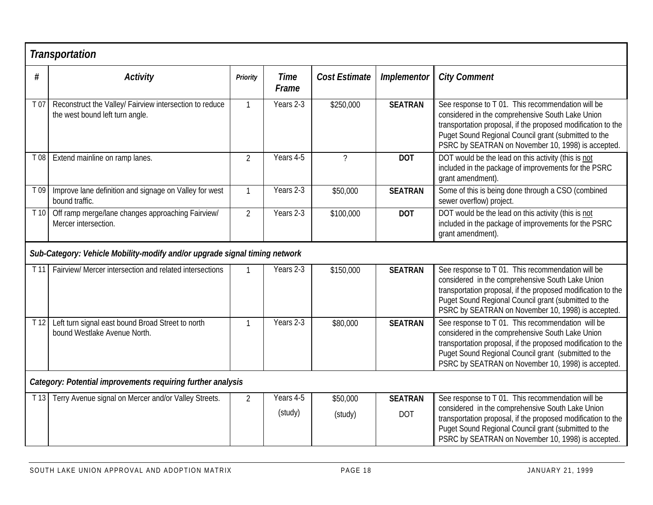## *Transportation*

|      | nansportation                                                                              |                 |                      |                      |                              |                                                                                                                                                                                                                                                                                     |
|------|--------------------------------------------------------------------------------------------|-----------------|----------------------|----------------------|------------------------------|-------------------------------------------------------------------------------------------------------------------------------------------------------------------------------------------------------------------------------------------------------------------------------------|
| #    | <b>Activity</b>                                                                            | <b>Priority</b> | <b>Time</b><br>Frame | <b>Cost Estimate</b> | <b>Implementor</b>           | <b>City Comment</b>                                                                                                                                                                                                                                                                 |
| T 07 | Reconstruct the Valley/ Fairview intersection to reduce<br>the west bound left turn angle. | $\mathbf{1}$    | Years 2-3            | \$250,000            | <b>SEATRAN</b>               | See response to T 01. This recommendation will be<br>considered in the comprehensive South Lake Union<br>transportation proposal, if the proposed modification to the<br>Puget Sound Regional Council grant (submitted to the<br>PSRC by SEATRAN on November 10, 1998) is accepted. |
| T 08 | Extend mainline on ramp lanes.                                                             | $\overline{2}$  | Years 4-5            | $\overline{?}$       | <b>DOT</b>                   | DOT would be the lead on this activity (this is not<br>included in the package of improvements for the PSRC<br>grant amendment).                                                                                                                                                    |
| T 09 | Improve lane definition and signage on Valley for west<br>bound traffic.                   | $\mathbf{1}$    | Years 2-3            | \$50,000             | <b>SEATRAN</b>               | Some of this is being done through a CSO (combined<br>sewer overflow) project.                                                                                                                                                                                                      |
|      | T 10 Off ramp merge/lane changes approaching Fairview/<br>Mercer intersection.             | $\overline{2}$  | Years 2-3            | \$100,000            | <b>DOT</b>                   | DOT would be the lead on this activity (this is not<br>included in the package of improvements for the PSRC<br>grant amendment).                                                                                                                                                    |
|      | Sub-Category: Vehicle Mobility-modify and/or upgrade signal timing network                 |                 |                      |                      |                              |                                                                                                                                                                                                                                                                                     |
| T11  | Fairview/ Mercer intersection and related intersections                                    |                 | Years 2-3            | \$150,000            | <b>SEATRAN</b>               | See response to T 01. This recommendation will be<br>considered in the comprehensive South Lake Union<br>transportation proposal, if the proposed modification to the<br>Puget Sound Regional Council grant (submitted to the<br>PSRC by SEATRAN on November 10, 1998) is accepted. |
| T12  | Left turn signal east bound Broad Street to north<br>bound Westlake Avenue North.          |                 | Years 2-3            | \$80,000             | <b>SEATRAN</b>               | See response to T 01. This recommendation will be<br>considered in the comprehensive South Lake Union<br>transportation proposal, if the proposed modification to the<br>Puget Sound Regional Council grant (submitted to the<br>PSRC by SEATRAN on November 10, 1998) is accepted. |
|      | Category: Potential improvements requiring further analysis                                |                 |                      |                      |                              |                                                                                                                                                                                                                                                                                     |
| T 13 | Terry Avenue signal on Mercer and/or Valley Streets.                                       | $\overline{2}$  | Years 4-5<br>(study) | \$50,000<br>(study)  | <b>SEATRAN</b><br><b>DOT</b> | See response to T 01. This recommendation will be<br>considered in the comprehensive South Lake Union<br>transportation proposal, if the proposed modification to the<br>Puget Sound Regional Council grant (submitted to the<br>PSRC by SEATRAN on November 10, 1998) is accepted. |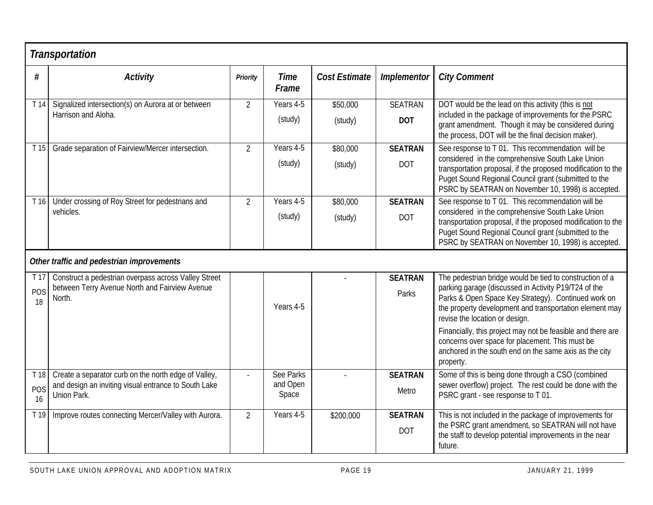## *Transportation*

| $\#$            | <b>Activity</b>                                                                                        | <b>Priority</b> | <b>Time</b><br>Frame | Cost Estimate | <b>Implementor</b>           | <b>City Comment</b>                                                                                                                                                                                                            |  |  |
|-----------------|--------------------------------------------------------------------------------------------------------|-----------------|----------------------|---------------|------------------------------|--------------------------------------------------------------------------------------------------------------------------------------------------------------------------------------------------------------------------------|--|--|
| T14             | Signalized intersection(s) on Aurora at or between                                                     | $\overline{2}$  | Years 4-5            | \$50,000      | <b>SEATRAN</b>               | DOT would be the lead on this activity (this is not                                                                                                                                                                            |  |  |
|                 | Harrison and Aloha.                                                                                    |                 | (study)              | (study)       | <b>DOT</b>                   | included in the package of improvements for the PSRC<br>grant amendment. Though it may be considered during<br>the process, DOT will be the final decision maker).                                                             |  |  |
| T <sub>15</sub> | Grade separation of Fairview/Mercer intersection.                                                      | $\overline{2}$  | Years 4-5            | \$80,000      | <b>SEATRAN</b>               | See response to T 01. This recommendation will be                                                                                                                                                                              |  |  |
|                 |                                                                                                        |                 | (study)              | (study)       | <b>DOT</b>                   | considered in the comprehensive South Lake Union<br>transportation proposal, if the proposed modification to the<br>Puget Sound Regional Council grant (submitted to the<br>PSRC by SEATRAN on November 10, 1998) is accepted. |  |  |
| T16             | Under crossing of Roy Street for pedestrians and                                                       | $\overline{2}$  | Years 4-5            | \$80,000      | <b>SEATRAN</b>               | See response to T 01. This recommendation will be                                                                                                                                                                              |  |  |
|                 | vehicles.                                                                                              |                 | (study)              | (study)       | <b>DOT</b>                   | considered in the comprehensive South Lake Union<br>transportation proposal, if the proposed modification to the<br>Puget Sound Regional Council grant (submitted to the<br>PSRC by SEATRAN on November 10, 1998) is accepted. |  |  |
|                 | Other traffic and pedestrian improvements                                                              |                 |                      |               |                              |                                                                                                                                                                                                                                |  |  |
| T 17            | Construct a pedestrian overpass across Valley Street<br>between Terry Avenue North and Fairview Avenue |                 |                      |               | <b>SEATRAN</b>               | The pedestrian bridge would be tied to construction of a<br>parking garage (discussed in Activity P19/T24 of the                                                                                                               |  |  |
| POS<br>18       | North.                                                                                                 |                 | Years 4-5            |               | Parks                        | Parks & Open Space Key Strategy). Continued work on<br>the property development and transportation element may<br>revise the location or design.                                                                               |  |  |
|                 |                                                                                                        |                 |                      |               |                              | Financially, this project may not be feasible and there are<br>concerns over space for placement. This must be<br>anchored in the south end on the same axis as the city<br>property.                                          |  |  |
| T 18            | Create a separator curb on the north edge of Valley,                                                   |                 | <b>See Parks</b>     |               | <b>SEATRAN</b>               | Some of this is being done through a CSO (combined                                                                                                                                                                             |  |  |
| POS<br>16       | and design an inviting visual entrance to South Lake<br>Union Park.                                    |                 | and Open<br>Space    |               | Metro                        | sewer overflow) project. The rest could be done with the<br>PSRC grant - see response to T 01.                                                                                                                                 |  |  |
| T 19            | Improve routes connecting Mercer/Valley with Aurora.                                                   | $\overline{2}$  | Years 4-5            | \$200,000     | <b>SEATRAN</b><br><b>DOT</b> | This is not included in the package of improvements for<br>the PSRC grant amendment, so SEATRAN will not have<br>the staff to develop potential improvements in the near<br>future.                                            |  |  |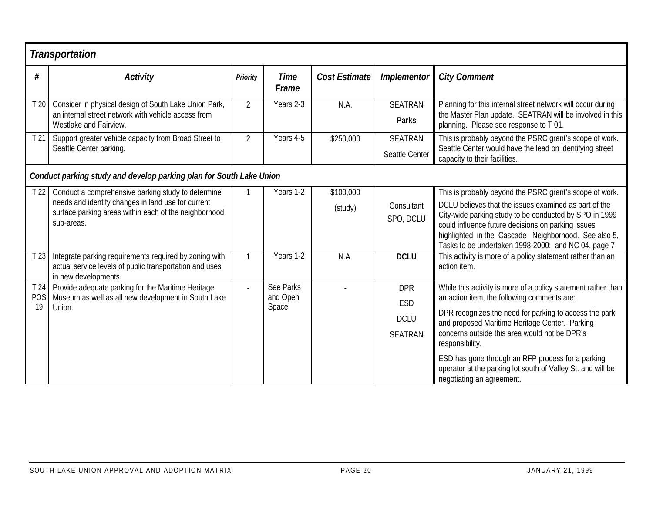|                 | <b>Transportation</b>                                                                                                                                                           |                 |                                |                      |                                                    |                                                                                                                                                                                                                                                                                                                                                                                                                                               |
|-----------------|---------------------------------------------------------------------------------------------------------------------------------------------------------------------------------|-----------------|--------------------------------|----------------------|----------------------------------------------------|-----------------------------------------------------------------------------------------------------------------------------------------------------------------------------------------------------------------------------------------------------------------------------------------------------------------------------------------------------------------------------------------------------------------------------------------------|
| #               | <b>Activity</b>                                                                                                                                                                 | <b>Priority</b> | <b>Time</b><br>Frame           | <b>Cost Estimate</b> | Implementor                                        | <b>City Comment</b>                                                                                                                                                                                                                                                                                                                                                                                                                           |
| T <sub>20</sub> | Consider in physical design of South Lake Union Park,<br>an internal street network with vehicle access from<br>Westlake and Fairview.                                          | $\overline{2}$  | Years 2-3                      | N.A.                 | <b>SEATRAN</b><br><b>Parks</b>                     | Planning for this internal street network will occur during<br>the Master Plan update. SEATRAN will be involved in this<br>planning. Please see response to T 01.                                                                                                                                                                                                                                                                             |
| T21             | Support greater vehicle capacity from Broad Street to<br>Seattle Center parking.                                                                                                | $\overline{2}$  | Years 4-5                      | \$250,000            | <b>SEATRAN</b><br>Seattle Center                   | This is probably beyond the PSRC grant's scope of work.<br>Seattle Center would have the lead on identifying street<br>capacity to their facilities.                                                                                                                                                                                                                                                                                          |
|                 | Conduct parking study and develop parking plan for South Lake Union                                                                                                             |                 |                                |                      |                                                    |                                                                                                                                                                                                                                                                                                                                                                                                                                               |
| T <sub>22</sub> | Conduct a comprehensive parking study to determine<br>needs and identify changes in land use for current<br>surface parking areas within each of the neighborhood<br>sub-areas. |                 | Years 1-2                      | \$100,000<br>(study) | Consultant<br>SPO, DCLU                            | This is probably beyond the PSRC grant's scope of work.<br>DCLU believes that the issues examined as part of the<br>City-wide parking study to be conducted by SPO in 1999<br>could influence future decisions on parking issues<br>highlighted in the Cascade Neighborhood. See also 5,<br>Tasks to be undertaken 1998-2000:, and NC 04, page 7                                                                                              |
| T23             | Integrate parking requirements required by zoning with<br>actual service levels of public transportation and uses<br>in new developments.                                       | $\mathbf{1}$    | Years 1-2                      | N.A.                 | <b>DCLU</b>                                        | This activity is more of a policy statement rather than an<br>action item.                                                                                                                                                                                                                                                                                                                                                                    |
| POS<br>19       | T 24 Provide adequate parking for the Maritime Heritage<br>Museum as well as all new development in South Lake<br>Union.                                                        |                 | See Parks<br>and Open<br>Space |                      | <b>DPR</b><br>ESD<br><b>DCLU</b><br><b>SEATRAN</b> | While this activity is more of a policy statement rather than<br>an action item, the following comments are:<br>DPR recognizes the need for parking to access the park<br>and proposed Maritime Heritage Center. Parking<br>concerns outside this area would not be DPR's<br>responsibility.<br>ESD has gone through an RFP process for a parking<br>operator at the parking lot south of Valley St. and will be<br>negotiating an agreement. |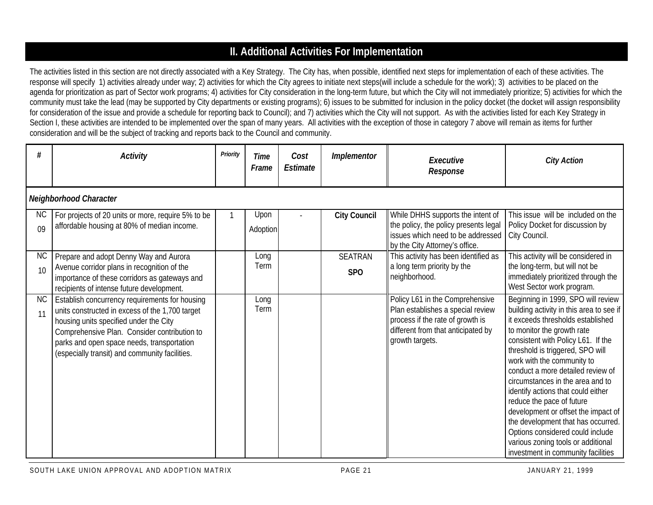## **II. Additional Activities For Implementation**

The activities listed in this section are not directly associated with a Key Strategy. The City has, when possible, identified next steps for implementation of each of these activities. The response will specify 1) activities already under way; 2) activities for which the City agrees to initiate next steps(will include a schedule for the work); 3) activities to be placed on the agenda for prioritization as part of Sector work programs; 4) activities for City consideration in the long-term future, but which the City will not immediately prioritize; 5) activities for which the community must take the lead (may be supported by City departments or existing programs); 6) issues to be submitted for inclusion in the policy docket (the docket will assign responsibility for consideration of the issue and provide a schedule for reporting back to Council); and 7) activities which the City will not support. As with the activities listed for each Key Strategy in Section I, these activities are intended to be implemented over the span of many years. All activities with the exception of those in category 7 above will remain as items for further consideration and will be the subject of tracking and reports back to the Council and community.

| #               | <b>Activity</b>                                                                                                                                                                                                                                                                             | Priority | Time<br>Frame    | Cost<br>Estimate | <b>Implementor</b>    | Executive<br>Response                                                                                                                                             | <b>City Action</b>                                                                                                                                                                                                                                                                                                                                                                                                                                                                                                                                                                                 |
|-----------------|---------------------------------------------------------------------------------------------------------------------------------------------------------------------------------------------------------------------------------------------------------------------------------------------|----------|------------------|------------------|-----------------------|-------------------------------------------------------------------------------------------------------------------------------------------------------------------|----------------------------------------------------------------------------------------------------------------------------------------------------------------------------------------------------------------------------------------------------------------------------------------------------------------------------------------------------------------------------------------------------------------------------------------------------------------------------------------------------------------------------------------------------------------------------------------------------|
|                 | Neighborhood Character                                                                                                                                                                                                                                                                      |          |                  |                  |                       |                                                                                                                                                                   |                                                                                                                                                                                                                                                                                                                                                                                                                                                                                                                                                                                                    |
| <b>NC</b><br>09 | For projects of 20 units or more, require 5% to be<br>affordable housing at 80% of median income.                                                                                                                                                                                           |          | Upon<br>Adoption |                  | <b>City Council</b>   | While DHHS supports the intent of<br>the policy, the policy presents legal<br>issues which need to be addressed<br>by the City Attorney's office.                 | This issue will be included on the<br>Policy Docket for discussion by<br>City Council.                                                                                                                                                                                                                                                                                                                                                                                                                                                                                                             |
| <b>NC</b><br>10 | Prepare and adopt Denny Way and Aurora<br>Avenue corridor plans in recognition of the<br>importance of these corridors as gateways and<br>recipients of intense future development.                                                                                                         |          | Long<br>Term     |                  | <b>SEATRAN</b><br>SPO | This activity has been identified as<br>a long term priority by the<br>neighborhood.                                                                              | This activity will be considered in<br>the long-term, but will not be<br>immediately prioritized through the<br>West Sector work program.                                                                                                                                                                                                                                                                                                                                                                                                                                                          |
| <b>NC</b><br>11 | Establish concurrency requirements for housing<br>units constructed in excess of the 1,700 target<br>housing units specified under the City<br>Comprehensive Plan. Consider contribution to<br>parks and open space needs, transportation<br>(especially transit) and community facilities. |          | Long<br>Term     |                  |                       | Policy L61 in the Comprehensive<br>Plan establishes a special review<br>process if the rate of growth is<br>different from that anticipated by<br>growth targets. | Beginning in 1999, SPO will review<br>building activity in this area to see if<br>it exceeds thresholds established<br>to monitor the growth rate<br>consistent with Policy L61. If the<br>threshold is triggered, SPO will<br>work with the community to<br>conduct a more detailed review of<br>circumstances in the area and to<br>identify actions that could either<br>reduce the pace of future<br>development or offset the impact of<br>the development that has occurred.<br>Options considered could include<br>various zoning tools or additional<br>investment in community facilities |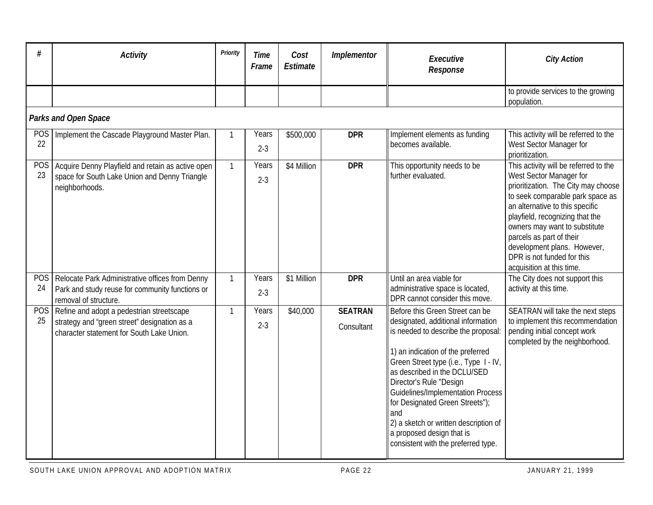|                  | <b>Activity</b>                                                                                                                        | Priority     | <b>Time</b><br>Frame | Cost<br>Estimate | Implementor                  | Executive<br>Response                                                                                                                                                                                                                                                                                                                                                                                                                                    | <b>City Action</b>                                                                                                                                                                                                                                                                                                                                                       |
|------------------|----------------------------------------------------------------------------------------------------------------------------------------|--------------|----------------------|------------------|------------------------------|----------------------------------------------------------------------------------------------------------------------------------------------------------------------------------------------------------------------------------------------------------------------------------------------------------------------------------------------------------------------------------------------------------------------------------------------------------|--------------------------------------------------------------------------------------------------------------------------------------------------------------------------------------------------------------------------------------------------------------------------------------------------------------------------------------------------------------------------|
|                  |                                                                                                                                        |              |                      |                  |                              |                                                                                                                                                                                                                                                                                                                                                                                                                                                          | to provide services to the growing<br>population.                                                                                                                                                                                                                                                                                                                        |
|                  | <b>Parks and Open Space</b>                                                                                                            |              |                      |                  |                              |                                                                                                                                                                                                                                                                                                                                                                                                                                                          |                                                                                                                                                                                                                                                                                                                                                                          |
| <b>POS</b><br>22 | Implement the Cascade Playground Master Plan.                                                                                          | 1            | Years<br>$2 - 3$     | \$500,000        | <b>DPR</b>                   | Implement elements as funding<br>becomes available.                                                                                                                                                                                                                                                                                                                                                                                                      | This activity will be referred to the<br>West Sector Manager for<br>prioritization.                                                                                                                                                                                                                                                                                      |
| <b>POS</b><br>23 | Acquire Denny Playfield and retain as active open<br>space for South Lake Union and Denny Triangle<br>neighborhoods.                   | $\mathbf{1}$ | Years<br>$2 - 3$     | \$4 Million      | <b>DPR</b>                   | This opportunity needs to be<br>further evaluated.                                                                                                                                                                                                                                                                                                                                                                                                       | This activity will be referred to the<br>West Sector Manager for<br>prioritization. The City may choose<br>to seek comparable park space as<br>an alternative to this specific<br>playfield, recognizing that the<br>owners may want to substitute<br>parcels as part of their<br>development plans. However,<br>DPR is not funded for this<br>acquisition at this time. |
| POS<br>24        | Relocate Park Administrative offices from Denny<br>Park and study reuse for community functions or<br>removal of structure.            | $\mathbf{1}$ | Years<br>$2 - 3$     | \$1 Million      | <b>DPR</b>                   | Until an area viable for<br>administrative space is located,<br>DPR cannot consider this move.                                                                                                                                                                                                                                                                                                                                                           | The City does not support this<br>activity at this time.                                                                                                                                                                                                                                                                                                                 |
| <b>POS</b><br>25 | Refine and adopt a pedestrian streetscape<br>strategy and "green street" designation as a<br>character statement for South Lake Union. | 1            | Years<br>$2 - 3$     | \$40,000         | <b>SEATRAN</b><br>Consultant | Before this Green Street can be<br>designated, additional information<br>is needed to describe the proposal:<br>1) an indication of the preferred<br>Green Street type (i.e., Type I - IV,<br>as described in the DCLU/SED<br>Director's Rule "Design<br><b>Guidelines/Implementation Process</b><br>for Designated Green Streets");<br>and<br>2) a sketch or written description of<br>a proposed design that is<br>consistent with the preferred type. | SEATRAN will take the next steps<br>to implement this recommendation<br>pending initial concept work<br>completed by the neighborhood.                                                                                                                                                                                                                                   |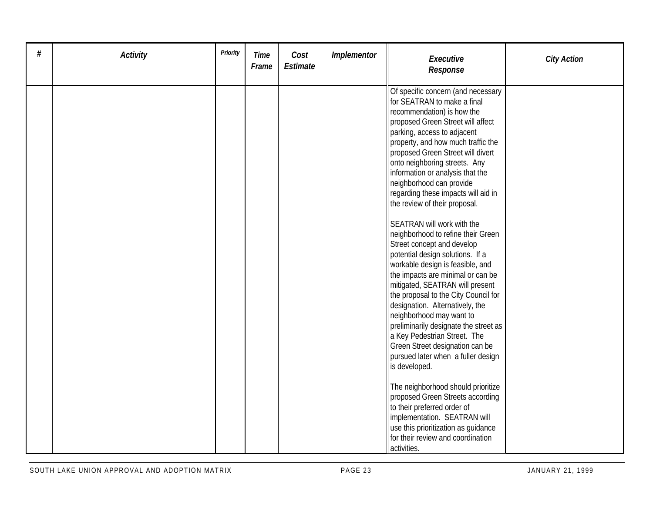| # | <b>Activity</b> | <b>Priority</b> | <b>Time</b><br>Frame | Cost<br>Estimate | Implementor | Executive<br>Response                                                                                                                                                                                                                                                                                                                                                                                                                                                                                                                                                                                                                                                                                                                                                                                                                                                                                                                                                                                                                                                                                                                                                                   | <b>City Action</b> |
|---|-----------------|-----------------|----------------------|------------------|-------------|-----------------------------------------------------------------------------------------------------------------------------------------------------------------------------------------------------------------------------------------------------------------------------------------------------------------------------------------------------------------------------------------------------------------------------------------------------------------------------------------------------------------------------------------------------------------------------------------------------------------------------------------------------------------------------------------------------------------------------------------------------------------------------------------------------------------------------------------------------------------------------------------------------------------------------------------------------------------------------------------------------------------------------------------------------------------------------------------------------------------------------------------------------------------------------------------|--------------------|
|   |                 |                 |                      |                  |             | Of specific concern (and necessary<br>for SEATRAN to make a final<br>recommendation) is how the<br>proposed Green Street will affect<br>parking, access to adjacent<br>property, and how much traffic the<br>proposed Green Street will divert<br>onto neighboring streets. Any<br>information or analysis that the<br>neighborhood can provide<br>regarding these impacts will aid in<br>the review of their proposal.<br>SEATRAN will work with the<br>neighborhood to refine their Green<br>Street concept and develop<br>potential design solutions. If a<br>workable design is feasible, and<br>the impacts are minimal or can be<br>mitigated, SEATRAN will present<br>the proposal to the City Council for<br>designation. Alternatively, the<br>neighborhood may want to<br>preliminarily designate the street as<br>a Key Pedestrian Street. The<br>Green Street designation can be<br>pursued later when a fuller design<br>is developed.<br>The neighborhood should prioritize<br>proposed Green Streets according<br>to their preferred order of<br>implementation. SEATRAN will<br>use this prioritization as quidance<br>for their review and coordination<br>activities. |                    |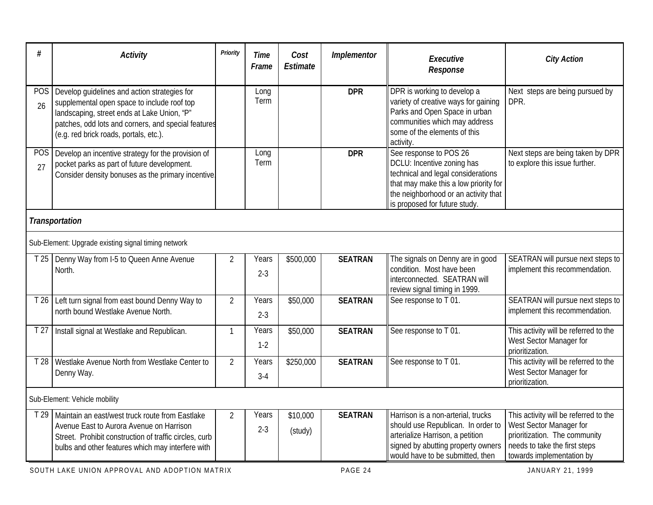| #                | <b>Activity</b>                                                                                                                                                                                                                             | <b>Priority</b> | <b>Time</b><br>Frame | Cost<br><b>Estimate</b> | Implementor    | Executive<br>Response                                                                                                                                                                                        | <b>City Action</b>                                                                                                                                              |
|------------------|---------------------------------------------------------------------------------------------------------------------------------------------------------------------------------------------------------------------------------------------|-----------------|----------------------|-------------------------|----------------|--------------------------------------------------------------------------------------------------------------------------------------------------------------------------------------------------------------|-----------------------------------------------------------------------------------------------------------------------------------------------------------------|
| <b>POS</b><br>26 | Develop guidelines and action strategies for<br>supplemental open space to include roof top<br>landscaping, street ends at Lake Union, "P"<br>patches, odd lots and corners, and special features<br>(e.g. red brick roads, portals, etc.). |                 | Long<br>Term         |                         | <b>DPR</b>     | DPR is working to develop a<br>variety of creative ways for gaining<br>Parks and Open Space in urban<br>communities which may address<br>some of the elements of this<br>activity.                           | Next steps are being pursued by<br>DPR.                                                                                                                         |
| POS<br>27        | Develop an incentive strategy for the provision of<br>pocket parks as part of future development.<br>Consider density bonuses as the primary incentive.                                                                                     |                 | Long<br>Term         |                         | <b>DPR</b>     | See response to POS 26<br>DCLU: Incentive zoning has<br>technical and legal considerations<br>that may make this a low priority for<br>the neighborhood or an activity that<br>is proposed for future study. | Next steps are being taken by DPR<br>to explore this issue further.                                                                                             |
|                  | <b>Transportation</b>                                                                                                                                                                                                                       |                 |                      |                         |                |                                                                                                                                                                                                              |                                                                                                                                                                 |
|                  | Sub-Element: Upgrade existing signal timing network                                                                                                                                                                                         |                 |                      |                         |                |                                                                                                                                                                                                              |                                                                                                                                                                 |
| T <sub>25</sub>  | Denny Way from I-5 to Queen Anne Avenue<br>North.                                                                                                                                                                                           | 2               | Years<br>$2 - 3$     | \$500,000               | <b>SEATRAN</b> | The signals on Denny are in good<br>condition. Most have been<br>interconnected. SEATRAN will<br>review signal timing in 1999.                                                                               | SEATRAN will pursue next steps to<br>implement this recommendation.                                                                                             |
| T 26             | Left turn signal from east bound Denny Way to<br>north bound Westlake Avenue North.                                                                                                                                                         | $\overline{2}$  | Years<br>$2 - 3$     | \$50,000                | <b>SEATRAN</b> | See response to T 01.                                                                                                                                                                                        | SEATRAN will pursue next steps to<br>implement this recommendation.                                                                                             |
| T <sub>27</sub>  | Install signal at Westlake and Republican.                                                                                                                                                                                                  | $\mathbf{1}$    | Years<br>$1-2$       | \$50,000                | <b>SEATRAN</b> | See response to T 01.                                                                                                                                                                                        | This activity will be referred to the<br>West Sector Manager for<br>prioritization.                                                                             |
| T 28             | Westlake Avenue North from Westlake Center to<br>Denny Way.                                                                                                                                                                                 | $\overline{2}$  | Years<br>$3-4$       | \$250,000               | <b>SEATRAN</b> | See response to T 01.                                                                                                                                                                                        | This activity will be referred to the<br>West Sector Manager for<br>prioritization.                                                                             |
|                  | Sub-Element: Vehicle mobility                                                                                                                                                                                                               |                 |                      |                         |                |                                                                                                                                                                                                              |                                                                                                                                                                 |
| T 29             | Maintain an east/west truck route from Eastlake<br>Avenue East to Aurora Avenue on Harrison<br>Street. Prohibit construction of traffic circles, curb<br>bulbs and other features which may interfere with                                  | $\overline{2}$  | Years<br>$2 - 3$     | \$10,000<br>(study)     | <b>SEATRAN</b> | Harrison is a non-arterial, trucks<br>should use Republican. In order to<br>arterialize Harrison, a petition<br>signed by abutting property owners<br>would have to be submitted, then                       | This activity will be referred to the<br>West Sector Manager for<br>prioritization. The community<br>needs to take the first steps<br>towards implementation by |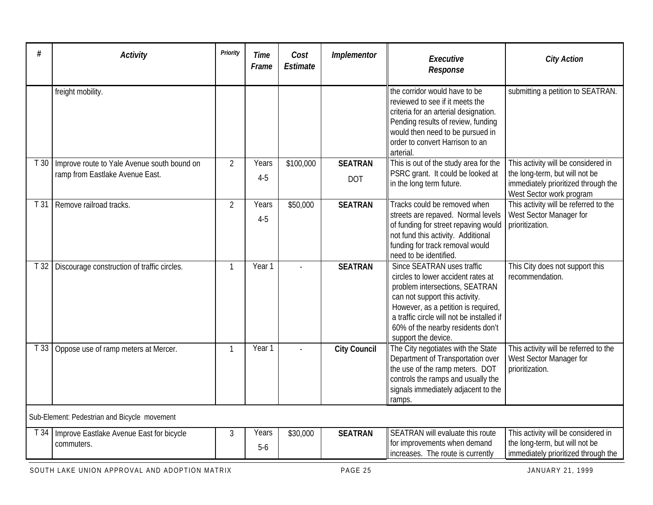| #               | <b>Activity</b>                                                                | Priority       | <b>Time</b><br>Frame | Cost<br><b>Estimate</b> | <b>Implementor</b>           | Executive<br>Response                                                                                                                                                                                                                                                                | <b>City Action</b>                                                                                                                       |
|-----------------|--------------------------------------------------------------------------------|----------------|----------------------|-------------------------|------------------------------|--------------------------------------------------------------------------------------------------------------------------------------------------------------------------------------------------------------------------------------------------------------------------------------|------------------------------------------------------------------------------------------------------------------------------------------|
|                 | freight mobility.                                                              |                |                      |                         |                              | the corridor would have to be<br>reviewed to see if it meets the<br>criteria for an arterial designation.<br>Pending results of review, funding<br>would then need to be pursued in<br>order to convert Harrison to an<br>arterial.                                                  | submitting a petition to SEATRAN.                                                                                                        |
| T30             | Improve route to Yale Avenue south bound on<br>ramp from Eastlake Avenue East. | $\overline{2}$ | Years<br>$4 - 5$     | \$100,000               | <b>SEATRAN</b><br><b>DOT</b> | This is out of the study area for the<br>PSRC grant. It could be looked at<br>in the long term future.                                                                                                                                                                               | This activity will be considered in<br>the long-term, but will not be<br>immediately prioritized through the<br>West Sector work program |
| T <sub>31</sub> | Remove railroad tracks.                                                        | $\overline{2}$ | Years<br>$4 - 5$     | \$50,000                | <b>SEATRAN</b>               | Tracks could be removed when<br>streets are repaved. Normal levels<br>of funding for street repaving would<br>not fund this activity. Additional<br>funding for track removal would<br>need to be identified.                                                                        | This activity will be referred to the<br>West Sector Manager for<br>prioritization.                                                      |
| T32             | Discourage construction of traffic circles.                                    |                | Year 1               |                         | <b>SEATRAN</b>               | Since SEATRAN uses traffic<br>circles to lower accident rates at<br>problem intersections, SEATRAN<br>can not support this activity.<br>However, as a petition is required,<br>a traffic circle will not be installed if<br>60% of the nearby residents don't<br>support the device. | This City does not support this<br>recommendation.                                                                                       |
| T 33            | Oppose use of ramp meters at Mercer.                                           | $\mathbf{1}$   | Year 1               |                         | <b>City Council</b>          | The City negotiates with the State<br>Department of Transportation over<br>the use of the ramp meters. DOT<br>controls the ramps and usually the<br>signals immediately adjacent to the<br>ramps.                                                                                    | This activity will be referred to the<br>West Sector Manager for<br>prioritization.                                                      |
|                 | Sub-Element: Pedestrian and Bicycle movement                                   |                |                      |                         |                              |                                                                                                                                                                                                                                                                                      |                                                                                                                                          |
| T 34            | Improve Eastlake Avenue East for bicycle<br>commuters.                         | 3              | Years<br>$5-6$       | \$30,000                | <b>SEATRAN</b>               | SEATRAN will evaluate this route<br>for improvements when demand<br>increases. The route is currently                                                                                                                                                                                | This activity will be considered in<br>the long-term, but will not be<br>immediately prioritized through the                             |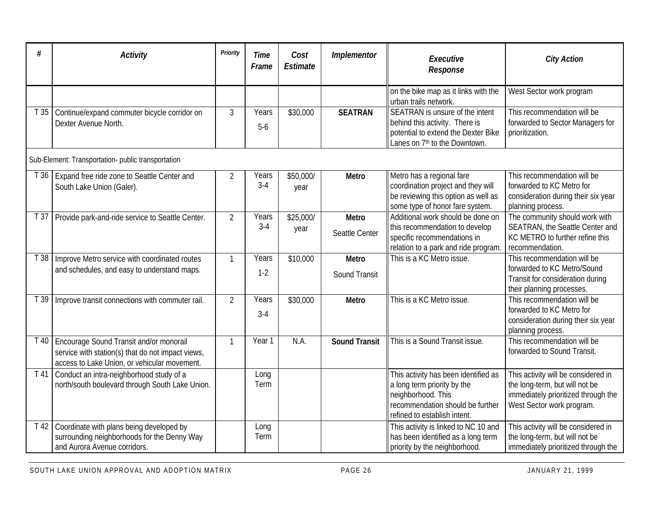| #    | <b>Activity</b>                                                                                                                              | <b>Priority</b> | <b>Time</b><br>Frame | Cost<br><b>Estimate</b> | Implementor                          | Executive<br>Response                                                                                                                                         | <b>City Action</b>                                                                                                                        |
|------|----------------------------------------------------------------------------------------------------------------------------------------------|-----------------|----------------------|-------------------------|--------------------------------------|---------------------------------------------------------------------------------------------------------------------------------------------------------------|-------------------------------------------------------------------------------------------------------------------------------------------|
|      |                                                                                                                                              |                 |                      |                         |                                      | on the bike map as it links with the<br>urban trails network.                                                                                                 | West Sector work program                                                                                                                  |
| T35  | Continue/expand commuter bicycle corridor on<br>Dexter Avenue North.                                                                         | $\mathfrak{Z}$  | Years<br>$5-6$       | \$30,000                | <b>SEATRAN</b>                       | SEATRAN is unsure of the intent<br>behind this activity. There is<br>potential to extend the Dexter Bike<br>Lanes on 7 <sup>th</sup> to the Downtown.         | This recommendation will be<br>forwarded to Sector Managers for<br>prioritization.                                                        |
|      | Sub-Element: Transportation- public transportation                                                                                           |                 |                      |                         |                                      |                                                                                                                                                               |                                                                                                                                           |
| T36  | Expand free ride zone to Seattle Center and<br>South Lake Union (Galer).                                                                     | 2               | Years<br>$3-4$       | \$50,000/<br>year       | <b>Metro</b>                         | Metro has a regional fare<br>coordination project and they will<br>be reviewing this option as well as<br>some type of honor fare system.                     | This recommendation will be<br>forwarded to KC Metro for<br>consideration during their six year<br>planning process.                      |
| T37  | Provide park-and-ride service to Seattle Center.                                                                                             | $\overline{2}$  | Years<br>$3-4$       | \$25,000/<br>year       | <b>Metro</b><br>Seattle Center       | Additional work should be done on<br>this recommendation to develop<br>specific recommendations in<br>relation to a park and ride program                     | The community should work with<br>SEATRAN, the Seattle Center and<br>KC METRO to further refine this<br>recommendation.                   |
| T38  | Improve Metro service with coordinated routes<br>and schedules, and easy to understand maps.                                                 | $\mathbf{1}$    | Years<br>$1-2$       | \$10,000                | <b>Metro</b><br><b>Sound Transit</b> | This is a KC Metro issue.                                                                                                                                     | This recommendation will be<br>forwarded to KC Metro/Sound<br>Transit for consideration during<br>their planning processes.               |
| Г 39 | Improve transit connections with commuter rail.                                                                                              | $\overline{2}$  | Years<br>$3-4$       | \$30,000                | Metro                                | This is a KC Metro issue.                                                                                                                                     | This recommendation will be<br>forwarded to KC Metro for<br>consideration during their six year<br>planning process.                      |
| T 40 | Encourage Sound Transit and/or monorail<br>service with station(s) that do not impact views,<br>access to Lake Union, or vehicular movement. |                 | Year 1               | N.A.                    | <b>Sound Transit</b>                 | This is a Sound Transit issue.                                                                                                                                | This recommendation will be<br>forwarded to Sound Transit.                                                                                |
| T 41 | Conduct an intra-neighborhood study of a<br>north/south boulevard through South Lake Union.                                                  |                 | Long<br>Term         |                         |                                      | This activity has been identified as<br>a long term priority by the<br>neighborhood. This<br>recommendation should be further<br>refined to establish intent. | This activity will be considered in<br>the long-term, but will not be<br>immediately prioritized through the<br>West Sector work program. |
| T 42 | Coordinate with plans being developed by<br>surrounding neighborhoods for the Denny Way<br>and Aurora Avenue corridors.                      |                 | Long<br>Term         |                         |                                      | This activity is linked to NC 10 and<br>has been identified as a long term<br>priority by the neighborhood.                                                   | This activity will be considered in<br>the long-term, but will not be<br>immediately prioritized through the                              |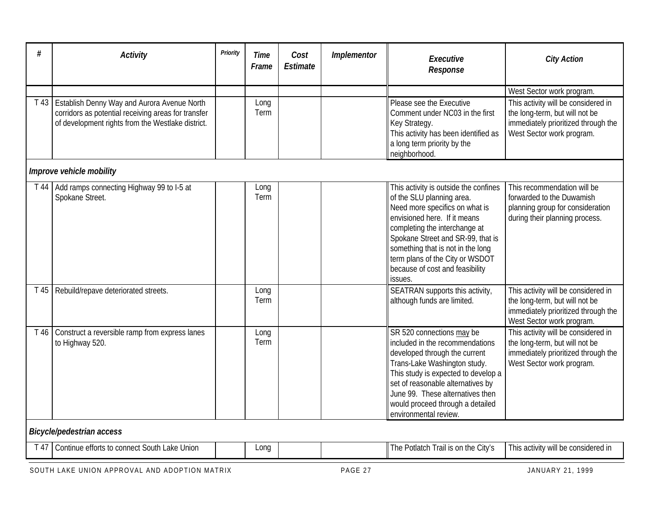| #    | <b>Activity</b>                                                                                          | Priority | Time<br>Frame | Cost<br>Estimate | <b>Implementor</b> | Executive<br>Response                                                                                                                                                                                                                                                                                                            | <b>City Action</b>                                                                                                                        |
|------|----------------------------------------------------------------------------------------------------------|----------|---------------|------------------|--------------------|----------------------------------------------------------------------------------------------------------------------------------------------------------------------------------------------------------------------------------------------------------------------------------------------------------------------------------|-------------------------------------------------------------------------------------------------------------------------------------------|
|      | T 43   Establish Denny Way and Aurora Avenue North                                                       |          | Long          |                  |                    | Please see the Executive                                                                                                                                                                                                                                                                                                         | West Sector work program.<br>This activity will be considered in                                                                          |
|      | corridors as potential receiving areas for transfer<br>of development rights from the Westlake district. |          | Term          |                  |                    | Comment under NC03 in the first<br>Key Strategy.<br>This activity has been identified as<br>a long term priority by the<br>neighborhood.                                                                                                                                                                                         | the long-term, but will not be<br>immediately prioritized through the<br>West Sector work program.                                        |
|      | Improve vehicle mobility                                                                                 |          |               |                  |                    |                                                                                                                                                                                                                                                                                                                                  |                                                                                                                                           |
| T 44 | Add ramps connecting Highway 99 to I-5 at<br>Spokane Street.                                             |          | Long<br>Term  |                  |                    | This activity is outside the confines<br>of the SLU planning area.<br>Need more specifics on what is<br>envisioned here. If it means<br>completing the interchange at<br>Spokane Street and SR-99, that is<br>something that is not in the long<br>term plans of the City or WSDOT<br>because of cost and feasibility<br>issues. | This recommendation will be<br>forwarded to the Duwamish<br>planning group for consideration<br>during their planning process.            |
| T 45 | Rebuild/repave deteriorated streets.                                                                     |          | Long<br>Term  |                  |                    | SEATRAN supports this activity,<br>although funds are limited.                                                                                                                                                                                                                                                                   | This activity will be considered in<br>the long-term, but will not be<br>immediately prioritized through the<br>West Sector work program. |
| T 46 | Construct a reversible ramp from express lanes<br>to Highway 520.                                        |          | Long<br>Term  |                  |                    | SR 520 connections may be<br>included in the recommendations<br>developed through the current<br>Trans-Lake Washington study.<br>This study is expected to develop a<br>set of reasonable alternatives by<br>June 99. These alternatives then<br>would proceed through a detailed<br>environmental review.                       | This activity will be considered in<br>the long-term, but will not be<br>immediately prioritized through the<br>West Sector work program. |

## *Bicycle/pedestrian access*

| $\sim$<br>. .<br>efforts to<br>$\sim$<br>Union<br>$\sim$ $\sim$ $\sim$<br>nnt.<br>Continue<br>$\overline{u}$<br>ant<br>. . | .on |  |  | $\sim$ $\sim$<br>. the<br>utlatch<br><b>City′</b><br>l he<br>Frail is i | <br>This activity<br>considered in<br>Will be |
|----------------------------------------------------------------------------------------------------------------------------|-----|--|--|-------------------------------------------------------------------------|-----------------------------------------------|
|----------------------------------------------------------------------------------------------------------------------------|-----|--|--|-------------------------------------------------------------------------|-----------------------------------------------|